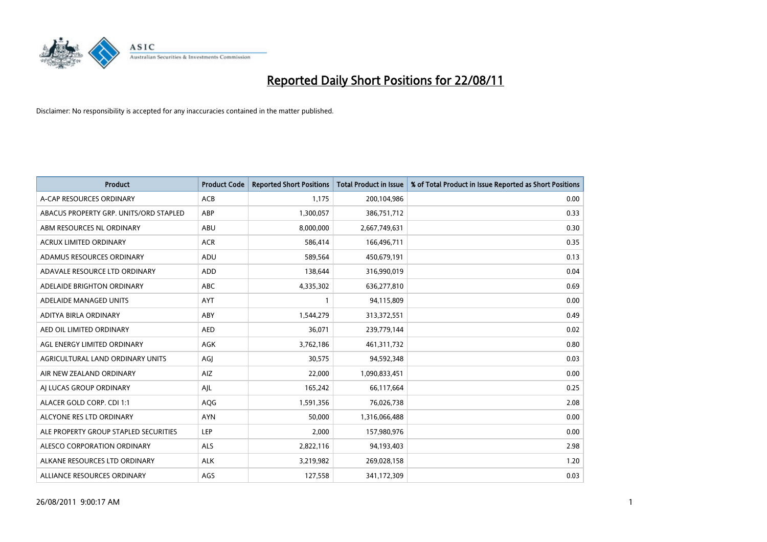

| <b>Product</b>                         | <b>Product Code</b> | <b>Reported Short Positions</b> | <b>Total Product in Issue</b> | % of Total Product in Issue Reported as Short Positions |
|----------------------------------------|---------------------|---------------------------------|-------------------------------|---------------------------------------------------------|
| A-CAP RESOURCES ORDINARY               | <b>ACB</b>          | 1,175                           | 200,104,986                   | 0.00                                                    |
| ABACUS PROPERTY GRP. UNITS/ORD STAPLED | ABP                 | 1,300,057                       | 386,751,712                   | 0.33                                                    |
| ABM RESOURCES NL ORDINARY              | ABU                 | 8,000,000                       | 2,667,749,631                 | 0.30                                                    |
| ACRUX LIMITED ORDINARY                 | <b>ACR</b>          | 586,414                         | 166,496,711                   | 0.35                                                    |
| ADAMUS RESOURCES ORDINARY              | ADU                 | 589,564                         | 450,679,191                   | 0.13                                                    |
| ADAVALE RESOURCE LTD ORDINARY          | <b>ADD</b>          | 138,644                         | 316,990,019                   | 0.04                                                    |
| ADELAIDE BRIGHTON ORDINARY             | <b>ABC</b>          | 4,335,302                       | 636,277,810                   | 0.69                                                    |
| ADELAIDE MANAGED UNITS                 | <b>AYT</b>          |                                 | 94,115,809                    | 0.00                                                    |
| ADITYA BIRLA ORDINARY                  | ABY                 | 1,544,279                       | 313,372,551                   | 0.49                                                    |
| AED OIL LIMITED ORDINARY               | <b>AED</b>          | 36,071                          | 239,779,144                   | 0.02                                                    |
| AGL ENERGY LIMITED ORDINARY            | <b>AGK</b>          | 3,762,186                       | 461,311,732                   | 0.80                                                    |
| AGRICULTURAL LAND ORDINARY UNITS       | AGJ                 | 30,575                          | 94,592,348                    | 0.03                                                    |
| AIR NEW ZEALAND ORDINARY               | AIZ                 | 22,000                          | 1,090,833,451                 | 0.00                                                    |
| AI LUCAS GROUP ORDINARY                | AJL                 | 165,242                         | 66,117,664                    | 0.25                                                    |
| ALACER GOLD CORP. CDI 1:1              | AQG                 | 1,591,356                       | 76,026,738                    | 2.08                                                    |
| ALCYONE RES LTD ORDINARY               | <b>AYN</b>          | 50,000                          | 1,316,066,488                 | 0.00                                                    |
| ALE PROPERTY GROUP STAPLED SECURITIES  | LEP                 | 2,000                           | 157,980,976                   | 0.00                                                    |
| ALESCO CORPORATION ORDINARY            | <b>ALS</b>          | 2,822,116                       | 94,193,403                    | 2.98                                                    |
| ALKANE RESOURCES LTD ORDINARY          | <b>ALK</b>          | 3,219,982                       | 269,028,158                   | 1.20                                                    |
| ALLIANCE RESOURCES ORDINARY            | AGS                 | 127,558                         | 341,172,309                   | 0.03                                                    |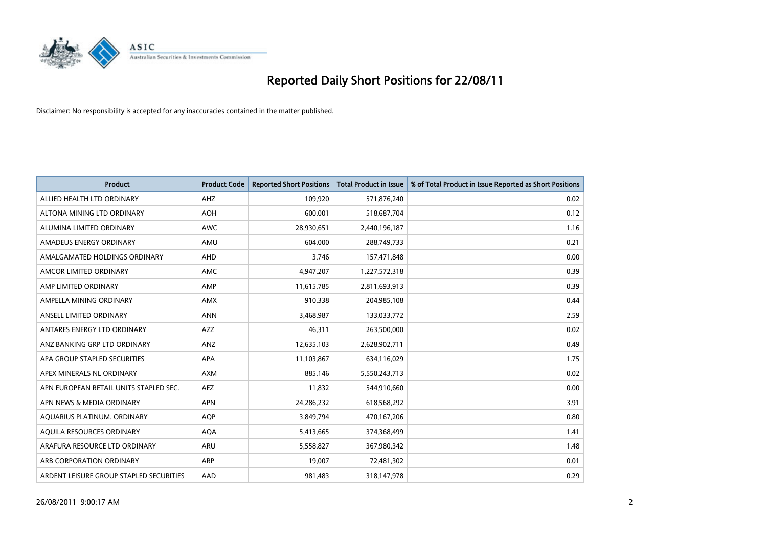

| <b>Product</b>                          | <b>Product Code</b> | <b>Reported Short Positions</b> | <b>Total Product in Issue</b> | % of Total Product in Issue Reported as Short Positions |
|-----------------------------------------|---------------------|---------------------------------|-------------------------------|---------------------------------------------------------|
| ALLIED HEALTH LTD ORDINARY              | <b>AHZ</b>          | 109,920                         | 571,876,240                   | 0.02                                                    |
| ALTONA MINING LTD ORDINARY              | <b>AOH</b>          | 600,001                         | 518,687,704                   | 0.12                                                    |
| ALUMINA LIMITED ORDINARY                | <b>AWC</b>          | 28,930,651                      | 2,440,196,187                 | 1.16                                                    |
| AMADEUS ENERGY ORDINARY                 | AMU                 | 604,000                         | 288,749,733                   | 0.21                                                    |
| AMALGAMATED HOLDINGS ORDINARY           | AHD                 | 3,746                           | 157,471,848                   | 0.00                                                    |
| AMCOR LIMITED ORDINARY                  | <b>AMC</b>          | 4,947,207                       | 1,227,572,318                 | 0.39                                                    |
| AMP LIMITED ORDINARY                    | AMP                 | 11,615,785                      | 2,811,693,913                 | 0.39                                                    |
| AMPELLA MINING ORDINARY                 | <b>AMX</b>          | 910,338                         | 204,985,108                   | 0.44                                                    |
| ANSELL LIMITED ORDINARY                 | <b>ANN</b>          | 3,468,987                       | 133,033,772                   | 2.59                                                    |
| ANTARES ENERGY LTD ORDINARY             | <b>AZZ</b>          | 46,311                          | 263,500,000                   | 0.02                                                    |
| ANZ BANKING GRP LTD ORDINARY            | ANZ                 | 12,635,103                      | 2,628,902,711                 | 0.49                                                    |
| APA GROUP STAPLED SECURITIES            | <b>APA</b>          | 11,103,867                      | 634,116,029                   | 1.75                                                    |
| APEX MINERALS NL ORDINARY               | <b>AXM</b>          | 885.146                         | 5,550,243,713                 | 0.02                                                    |
| APN EUROPEAN RETAIL UNITS STAPLED SEC.  | <b>AEZ</b>          | 11,832                          | 544,910,660                   | 0.00                                                    |
| APN NEWS & MEDIA ORDINARY               | <b>APN</b>          | 24,286,232                      | 618,568,292                   | 3.91                                                    |
| AQUARIUS PLATINUM. ORDINARY             | <b>AOP</b>          | 3,849,794                       | 470,167,206                   | 0.80                                                    |
| AQUILA RESOURCES ORDINARY               | <b>AQA</b>          | 5,413,665                       | 374,368,499                   | 1.41                                                    |
| ARAFURA RESOURCE LTD ORDINARY           | ARU                 | 5,558,827                       | 367,980,342                   | 1.48                                                    |
| ARB CORPORATION ORDINARY                | ARP                 | 19,007                          | 72,481,302                    | 0.01                                                    |
| ARDENT LEISURE GROUP STAPLED SECURITIES | AAD                 | 981,483                         | 318,147,978                   | 0.29                                                    |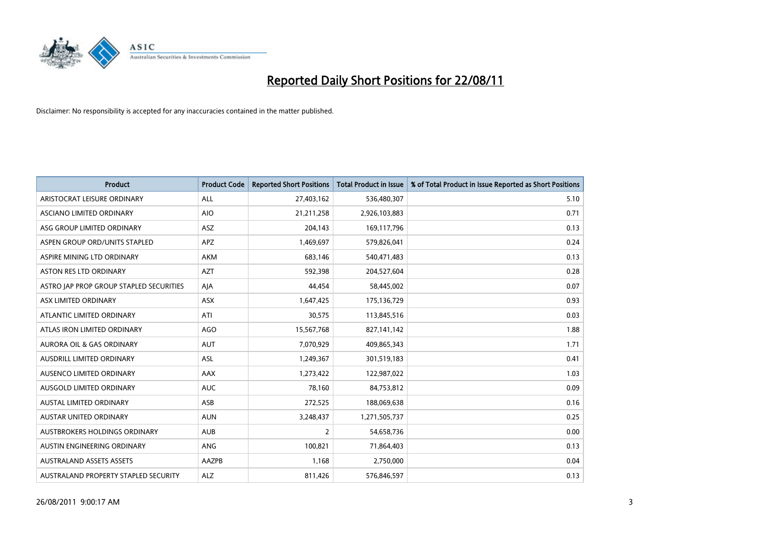

| <b>Product</b>                          | <b>Product Code</b> | <b>Reported Short Positions</b> | <b>Total Product in Issue</b> | % of Total Product in Issue Reported as Short Positions |
|-----------------------------------------|---------------------|---------------------------------|-------------------------------|---------------------------------------------------------|
| ARISTOCRAT LEISURE ORDINARY             | ALL                 | 27,403,162                      | 536,480,307                   | 5.10                                                    |
| ASCIANO LIMITED ORDINARY                | <b>AIO</b>          | 21,211,258                      | 2,926,103,883                 | 0.71                                                    |
| ASG GROUP LIMITED ORDINARY              | <b>ASZ</b>          | 204,143                         | 169,117,796                   | 0.13                                                    |
| ASPEN GROUP ORD/UNITS STAPLED           | <b>APZ</b>          | 1,469,697                       | 579,826,041                   | 0.24                                                    |
| ASPIRE MINING LTD ORDINARY              | <b>AKM</b>          | 683,146                         | 540,471,483                   | 0.13                                                    |
| <b>ASTON RES LTD ORDINARY</b>           | <b>AZT</b>          | 592,398                         | 204,527,604                   | 0.28                                                    |
| ASTRO JAP PROP GROUP STAPLED SECURITIES | AJA                 | 44,454                          | 58,445,002                    | 0.07                                                    |
| ASX LIMITED ORDINARY                    | <b>ASX</b>          | 1,647,425                       | 175,136,729                   | 0.93                                                    |
| ATLANTIC LIMITED ORDINARY               | ATI                 | 30,575                          | 113,845,516                   | 0.03                                                    |
| ATLAS IRON LIMITED ORDINARY             | <b>AGO</b>          | 15,567,768                      | 827,141,142                   | 1.88                                                    |
| AURORA OIL & GAS ORDINARY               | <b>AUT</b>          | 7,070,929                       | 409,865,343                   | 1.71                                                    |
| AUSDRILL LIMITED ORDINARY               | ASL                 | 1,249,367                       | 301,519,183                   | 0.41                                                    |
| AUSENCO LIMITED ORDINARY                | <b>AAX</b>          | 1,273,422                       | 122,987,022                   | 1.03                                                    |
| AUSGOLD LIMITED ORDINARY                | <b>AUC</b>          | 78,160                          | 84,753,812                    | 0.09                                                    |
| <b>AUSTAL LIMITED ORDINARY</b>          | ASB                 | 272,525                         | 188,069,638                   | 0.16                                                    |
| <b>AUSTAR UNITED ORDINARY</b>           | <b>AUN</b>          | 3,248,437                       | 1,271,505,737                 | 0.25                                                    |
| AUSTBROKERS HOLDINGS ORDINARY           | <b>AUB</b>          | $\overline{2}$                  | 54,658,736                    | 0.00                                                    |
| AUSTIN ENGINEERING ORDINARY             | ANG                 | 100,821                         | 71,864,403                    | 0.13                                                    |
| <b>AUSTRALAND ASSETS ASSETS</b>         | AAZPB               | 1,168                           | 2,750,000                     | 0.04                                                    |
| AUSTRALAND PROPERTY STAPLED SECURITY    | <b>ALZ</b>          | 811,426                         | 576,846,597                   | 0.13                                                    |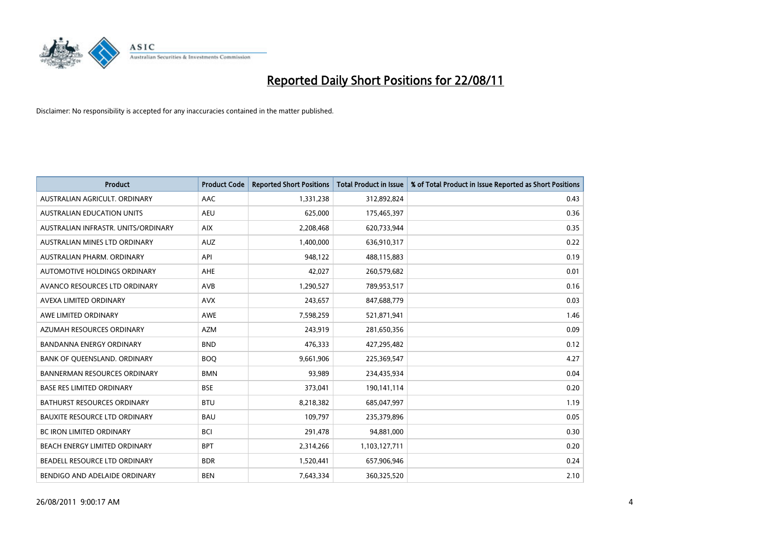

| <b>Product</b>                       | <b>Product Code</b> | <b>Reported Short Positions</b> | <b>Total Product in Issue</b> | % of Total Product in Issue Reported as Short Positions |
|--------------------------------------|---------------------|---------------------------------|-------------------------------|---------------------------------------------------------|
| AUSTRALIAN AGRICULT, ORDINARY        | AAC                 | 1,331,238                       | 312,892,824                   | 0.43                                                    |
| AUSTRALIAN EDUCATION UNITS           | <b>AEU</b>          | 625,000                         | 175,465,397                   | 0.36                                                    |
| AUSTRALIAN INFRASTR, UNITS/ORDINARY  | <b>AIX</b>          | 2,208,468                       | 620,733,944                   | 0.35                                                    |
| AUSTRALIAN MINES LTD ORDINARY        | <b>AUZ</b>          | 1,400,000                       | 636,910,317                   | 0.22                                                    |
| AUSTRALIAN PHARM, ORDINARY           | API                 | 948,122                         | 488,115,883                   | 0.19                                                    |
| AUTOMOTIVE HOLDINGS ORDINARY         | AHE                 | 42,027                          | 260,579,682                   | 0.01                                                    |
| AVANCO RESOURCES LTD ORDINARY        | <b>AVB</b>          | 1,290,527                       | 789,953,517                   | 0.16                                                    |
| AVEXA LIMITED ORDINARY               | <b>AVX</b>          | 243,657                         | 847,688,779                   | 0.03                                                    |
| AWE LIMITED ORDINARY                 | <b>AWE</b>          | 7,598,259                       | 521,871,941                   | 1.46                                                    |
| AZUMAH RESOURCES ORDINARY            | <b>AZM</b>          | 243,919                         | 281,650,356                   | 0.09                                                    |
| BANDANNA ENERGY ORDINARY             | <b>BND</b>          | 476,333                         | 427,295,482                   | 0.12                                                    |
| BANK OF QUEENSLAND. ORDINARY         | <b>BOQ</b>          | 9,661,906                       | 225,369,547                   | 4.27                                                    |
| <b>BANNERMAN RESOURCES ORDINARY</b>  | <b>BMN</b>          | 93,989                          | 234,435,934                   | 0.04                                                    |
| <b>BASE RES LIMITED ORDINARY</b>     | <b>BSE</b>          | 373,041                         | 190,141,114                   | 0.20                                                    |
| <b>BATHURST RESOURCES ORDINARY</b>   | <b>BTU</b>          | 8,218,382                       | 685,047,997                   | 1.19                                                    |
| <b>BAUXITE RESOURCE LTD ORDINARY</b> | <b>BAU</b>          | 109,797                         | 235,379,896                   | 0.05                                                    |
| BC IRON LIMITED ORDINARY             | <b>BCI</b>          | 291,478                         | 94,881,000                    | 0.30                                                    |
| BEACH ENERGY LIMITED ORDINARY        | <b>BPT</b>          | 2,314,266                       | 1,103,127,711                 | 0.20                                                    |
| BEADELL RESOURCE LTD ORDINARY        | <b>BDR</b>          | 1,520,441                       | 657,906,946                   | 0.24                                                    |
| BENDIGO AND ADELAIDE ORDINARY        | <b>BEN</b>          | 7,643,334                       | 360,325,520                   | 2.10                                                    |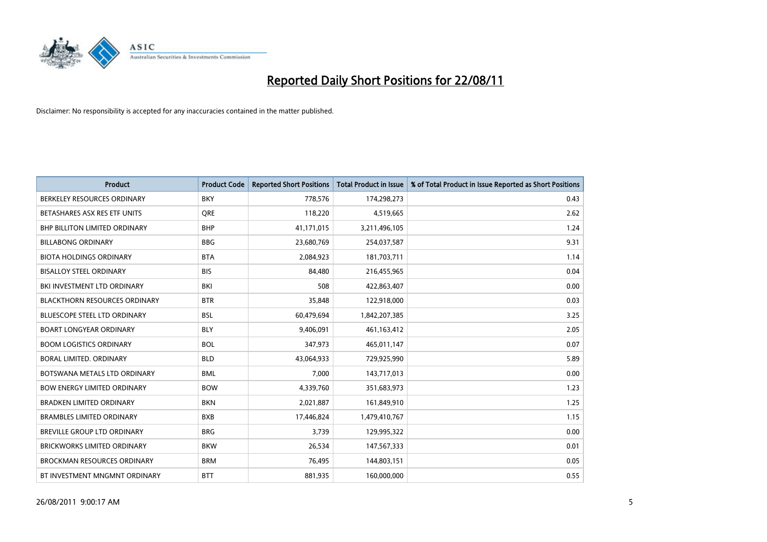

| <b>Product</b>                       | <b>Product Code</b> | <b>Reported Short Positions</b> | <b>Total Product in Issue</b> | % of Total Product in Issue Reported as Short Positions |
|--------------------------------------|---------------------|---------------------------------|-------------------------------|---------------------------------------------------------|
| BERKELEY RESOURCES ORDINARY          | <b>BKY</b>          | 778,576                         | 174,298,273                   | 0.43                                                    |
| BETASHARES ASX RES ETF UNITS         | <b>ORE</b>          | 118,220                         | 4,519,665                     | 2.62                                                    |
| <b>BHP BILLITON LIMITED ORDINARY</b> | <b>BHP</b>          | 41,171,015                      | 3,211,496,105                 | 1.24                                                    |
| <b>BILLABONG ORDINARY</b>            | <b>BBG</b>          | 23,680,769                      | 254,037,587                   | 9.31                                                    |
| <b>BIOTA HOLDINGS ORDINARY</b>       | <b>BTA</b>          | 2,084,923                       | 181,703,711                   | 1.14                                                    |
| <b>BISALLOY STEEL ORDINARY</b>       | <b>BIS</b>          | 84.480                          | 216,455,965                   | 0.04                                                    |
| BKI INVESTMENT LTD ORDINARY          | BKI                 | 508                             | 422,863,407                   | 0.00                                                    |
| <b>BLACKTHORN RESOURCES ORDINARY</b> | <b>BTR</b>          | 35,848                          | 122,918,000                   | 0.03                                                    |
| <b>BLUESCOPE STEEL LTD ORDINARY</b>  | <b>BSL</b>          | 60,479,694                      | 1,842,207,385                 | 3.25                                                    |
| <b>BOART LONGYEAR ORDINARY</b>       | <b>BLY</b>          | 9,406,091                       | 461, 163, 412                 | 2.05                                                    |
| <b>BOOM LOGISTICS ORDINARY</b>       | <b>BOL</b>          | 347,973                         | 465,011,147                   | 0.07                                                    |
| <b>BORAL LIMITED, ORDINARY</b>       | <b>BLD</b>          | 43,064,933                      | 729,925,990                   | 5.89                                                    |
| BOTSWANA METALS LTD ORDINARY         | <b>BML</b>          | 7,000                           | 143,717,013                   | 0.00                                                    |
| <b>BOW ENERGY LIMITED ORDINARY</b>   | <b>BOW</b>          | 4,339,760                       | 351,683,973                   | 1.23                                                    |
| <b>BRADKEN LIMITED ORDINARY</b>      | <b>BKN</b>          | 2,021,887                       | 161,849,910                   | 1.25                                                    |
| <b>BRAMBLES LIMITED ORDINARY</b>     | <b>BXB</b>          | 17,446,824                      | 1,479,410,767                 | 1.15                                                    |
| BREVILLE GROUP LTD ORDINARY          | <b>BRG</b>          | 3,739                           | 129,995,322                   | 0.00                                                    |
| <b>BRICKWORKS LIMITED ORDINARY</b>   | <b>BKW</b>          | 26,534                          | 147,567,333                   | 0.01                                                    |
| <b>BROCKMAN RESOURCES ORDINARY</b>   | <b>BRM</b>          | 76,495                          | 144,803,151                   | 0.05                                                    |
| BT INVESTMENT MNGMNT ORDINARY        | <b>BTT</b>          | 881,935                         | 160,000,000                   | 0.55                                                    |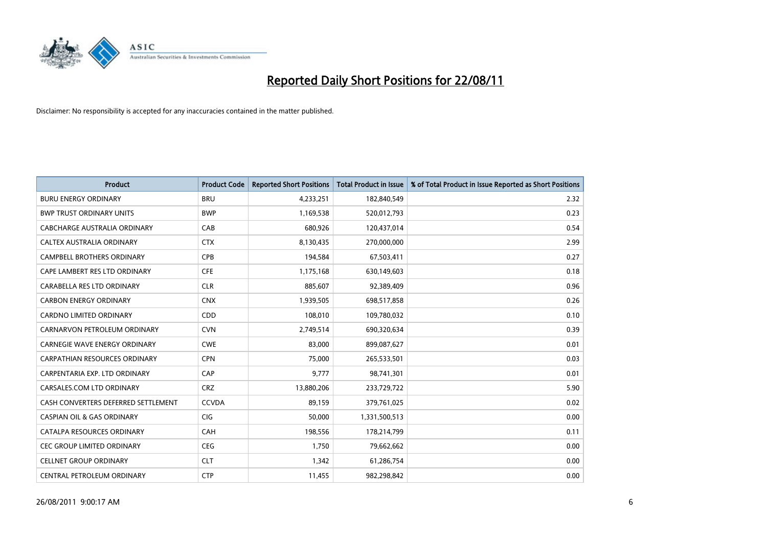

| <b>Product</b>                        | <b>Product Code</b> | <b>Reported Short Positions</b> | <b>Total Product in Issue</b> | % of Total Product in Issue Reported as Short Positions |
|---------------------------------------|---------------------|---------------------------------|-------------------------------|---------------------------------------------------------|
| <b>BURU ENERGY ORDINARY</b>           | <b>BRU</b>          | 4,233,251                       | 182,840,549                   | 2.32                                                    |
| <b>BWP TRUST ORDINARY UNITS</b>       | <b>BWP</b>          | 1,169,538                       | 520,012,793                   | 0.23                                                    |
| CABCHARGE AUSTRALIA ORDINARY          | CAB                 | 680,926                         | 120,437,014                   | 0.54                                                    |
| CALTEX AUSTRALIA ORDINARY             | <b>CTX</b>          | 8,130,435                       | 270,000,000                   | 2.99                                                    |
| <b>CAMPBELL BROTHERS ORDINARY</b>     | <b>CPB</b>          | 194,584                         | 67,503,411                    | 0.27                                                    |
| CAPE LAMBERT RES LTD ORDINARY         | <b>CFE</b>          | 1,175,168                       | 630,149,603                   | 0.18                                                    |
| CARABELLA RES LTD ORDINARY            | <b>CLR</b>          | 885,607                         | 92,389,409                    | 0.96                                                    |
| <b>CARBON ENERGY ORDINARY</b>         | <b>CNX</b>          | 1,939,505                       | 698,517,858                   | 0.26                                                    |
| CARDNO LIMITED ORDINARY               | <b>CDD</b>          | 108,010                         | 109,780,032                   | 0.10                                                    |
| CARNARVON PETROLEUM ORDINARY          | <b>CVN</b>          | 2,749,514                       | 690,320,634                   | 0.39                                                    |
| CARNEGIE WAVE ENERGY ORDINARY         | <b>CWE</b>          | 83,000                          | 899,087,627                   | 0.01                                                    |
| <b>CARPATHIAN RESOURCES ORDINARY</b>  | <b>CPN</b>          | 75.000                          | 265,533,501                   | 0.03                                                    |
| CARPENTARIA EXP. LTD ORDINARY         | CAP                 | 9,777                           | 98,741,301                    | 0.01                                                    |
| CARSALES.COM LTD ORDINARY             | <b>CRZ</b>          | 13,880,206                      | 233,729,722                   | 5.90                                                    |
| CASH CONVERTERS DEFERRED SETTLEMENT   | <b>CCVDA</b>        | 89,159                          | 379,761,025                   | 0.02                                                    |
| <b>CASPIAN OIL &amp; GAS ORDINARY</b> | CIG                 | 50,000                          | 1,331,500,513                 | 0.00                                                    |
| CATALPA RESOURCES ORDINARY            | CAH                 | 198,556                         | 178,214,799                   | 0.11                                                    |
| <b>CEC GROUP LIMITED ORDINARY</b>     | <b>CEG</b>          | 1,750                           | 79,662,662                    | 0.00                                                    |
| <b>CELLNET GROUP ORDINARY</b>         | <b>CLT</b>          | 1,342                           | 61,286,754                    | 0.00                                                    |
| CENTRAL PETROLEUM ORDINARY            | <b>CTP</b>          | 11,455                          | 982.298.842                   | 0.00                                                    |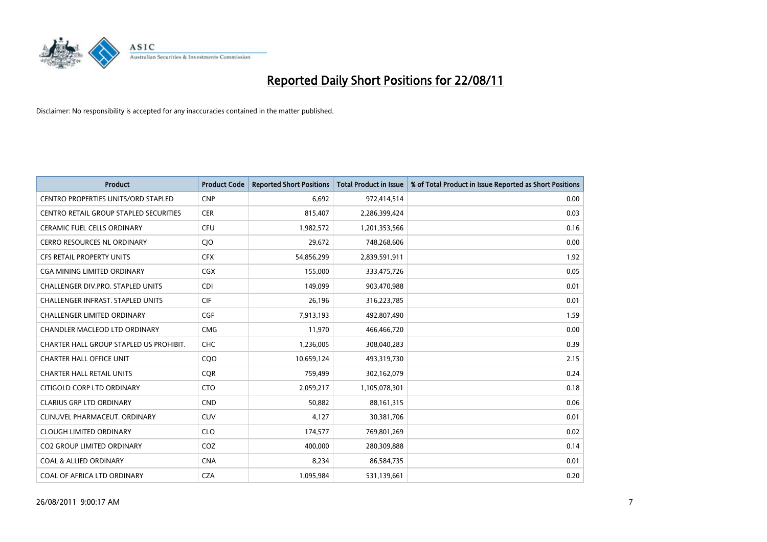

| <b>Product</b>                                | <b>Product Code</b> | <b>Reported Short Positions</b> | <b>Total Product in Issue</b> | % of Total Product in Issue Reported as Short Positions |
|-----------------------------------------------|---------------------|---------------------------------|-------------------------------|---------------------------------------------------------|
| <b>CENTRO PROPERTIES UNITS/ORD STAPLED</b>    | <b>CNP</b>          | 6,692                           | 972,414,514                   | 0.00                                                    |
| <b>CENTRO RETAIL GROUP STAPLED SECURITIES</b> | <b>CER</b>          | 815,407                         | 2,286,399,424                 | 0.03                                                    |
| <b>CERAMIC FUEL CELLS ORDINARY</b>            | <b>CFU</b>          | 1,982,572                       | 1,201,353,566                 | 0.16                                                    |
| CERRO RESOURCES NL ORDINARY                   | <b>CIO</b>          | 29,672                          | 748,268,606                   | 0.00                                                    |
| <b>CFS RETAIL PROPERTY UNITS</b>              | <b>CFX</b>          | 54,856,299                      | 2,839,591,911                 | 1.92                                                    |
| CGA MINING LIMITED ORDINARY                   | <b>CGX</b>          | 155,000                         | 333,475,726                   | 0.05                                                    |
| <b>CHALLENGER DIV.PRO. STAPLED UNITS</b>      | <b>CDI</b>          | 149.099                         | 903,470,988                   | 0.01                                                    |
| <b>CHALLENGER INFRAST, STAPLED UNITS</b>      | <b>CIF</b>          | 26,196                          | 316,223,785                   | 0.01                                                    |
| CHALLENGER LIMITED ORDINARY                   | <b>CGF</b>          | 7,913,193                       | 492,807,490                   | 1.59                                                    |
| CHANDLER MACLEOD LTD ORDINARY                 | <b>CMG</b>          | 11,970                          | 466,466,720                   | 0.00                                                    |
| CHARTER HALL GROUP STAPLED US PROHIBIT.       | <b>CHC</b>          | 1,236,005                       | 308,040,283                   | 0.39                                                    |
| <b>CHARTER HALL OFFICE UNIT</b>               | CQO                 | 10,659,124                      | 493,319,730                   | 2.15                                                    |
| <b>CHARTER HALL RETAIL UNITS</b>              | <b>COR</b>          | 759,499                         | 302,162,079                   | 0.24                                                    |
| CITIGOLD CORP LTD ORDINARY                    | <b>CTO</b>          | 2,059,217                       | 1,105,078,301                 | 0.18                                                    |
| <b>CLARIUS GRP LTD ORDINARY</b>               | <b>CND</b>          | 50,882                          | 88,161,315                    | 0.06                                                    |
| CLINUVEL PHARMACEUT, ORDINARY                 | <b>CUV</b>          | 4,127                           | 30,381,706                    | 0.01                                                    |
| <b>CLOUGH LIMITED ORDINARY</b>                | <b>CLO</b>          | 174,577                         | 769,801,269                   | 0.02                                                    |
| <b>CO2 GROUP LIMITED ORDINARY</b>             | COZ                 | 400,000                         | 280,309,888                   | 0.14                                                    |
| <b>COAL &amp; ALLIED ORDINARY</b>             | <b>CNA</b>          | 8,234                           | 86,584,735                    | 0.01                                                    |
| COAL OF AFRICA LTD ORDINARY                   | <b>CZA</b>          | 1,095,984                       | 531,139,661                   | 0.20                                                    |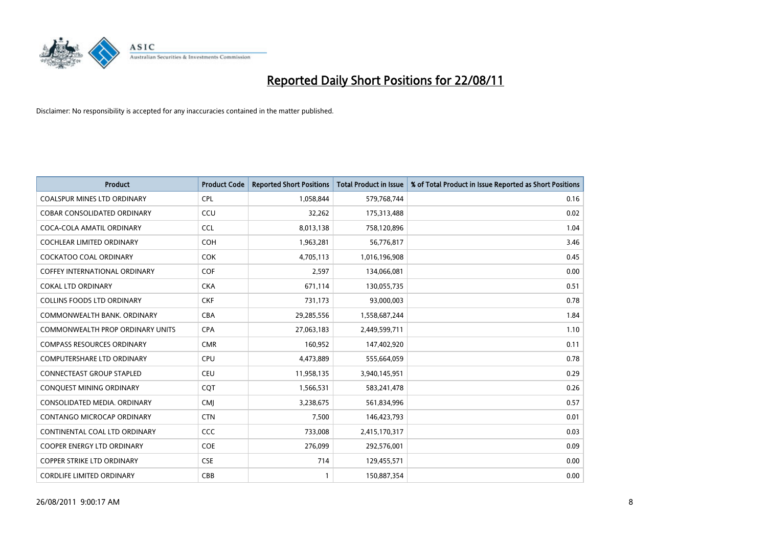

| <b>Product</b>                          | <b>Product Code</b> | <b>Reported Short Positions</b> | <b>Total Product in Issue</b> | % of Total Product in Issue Reported as Short Positions |
|-----------------------------------------|---------------------|---------------------------------|-------------------------------|---------------------------------------------------------|
| <b>COALSPUR MINES LTD ORDINARY</b>      | CPL                 | 1,058,844                       | 579,768,744                   | 0.16                                                    |
| COBAR CONSOLIDATED ORDINARY             | CCU                 | 32,262                          | 175,313,488                   | 0.02                                                    |
| COCA-COLA AMATIL ORDINARY               | <b>CCL</b>          | 8,013,138                       | 758,120,896                   | 1.04                                                    |
| COCHLEAR LIMITED ORDINARY               | <b>COH</b>          | 1,963,281                       | 56,776,817                    | 3.46                                                    |
| <b>COCKATOO COAL ORDINARY</b>           | <b>COK</b>          | 4,705,113                       | 1,016,196,908                 | 0.45                                                    |
| <b>COFFEY INTERNATIONAL ORDINARY</b>    | <b>COF</b>          | 2,597                           | 134,066,081                   | 0.00                                                    |
| <b>COKAL LTD ORDINARY</b>               | <b>CKA</b>          | 671,114                         | 130,055,735                   | 0.51                                                    |
| <b>COLLINS FOODS LTD ORDINARY</b>       | <b>CKF</b>          | 731,173                         | 93,000,003                    | 0.78                                                    |
| COMMONWEALTH BANK, ORDINARY             | <b>CBA</b>          | 29,285,556                      | 1,558,687,244                 | 1.84                                                    |
| <b>COMMONWEALTH PROP ORDINARY UNITS</b> | <b>CPA</b>          | 27,063,183                      | 2,449,599,711                 | 1.10                                                    |
| <b>COMPASS RESOURCES ORDINARY</b>       | <b>CMR</b>          | 160,952                         | 147,402,920                   | 0.11                                                    |
| <b>COMPUTERSHARE LTD ORDINARY</b>       | <b>CPU</b>          | 4,473,889                       | 555,664,059                   | 0.78                                                    |
| CONNECTEAST GROUP STAPLED               | <b>CEU</b>          | 11,958,135                      | 3,940,145,951                 | 0.29                                                    |
| CONQUEST MINING ORDINARY                | COT                 | 1,566,531                       | 583,241,478                   | 0.26                                                    |
| CONSOLIDATED MEDIA, ORDINARY            | <b>CMJ</b>          | 3,238,675                       | 561,834,996                   | 0.57                                                    |
| CONTANGO MICROCAP ORDINARY              | <b>CTN</b>          | 7,500                           | 146,423,793                   | 0.01                                                    |
| CONTINENTAL COAL LTD ORDINARY           | <b>CCC</b>          | 733,008                         | 2,415,170,317                 | 0.03                                                    |
| COOPER ENERGY LTD ORDINARY              | <b>COE</b>          | 276,099                         | 292,576,001                   | 0.09                                                    |
| <b>COPPER STRIKE LTD ORDINARY</b>       | <b>CSE</b>          | 714                             | 129,455,571                   | 0.00                                                    |
| <b>CORDLIFE LIMITED ORDINARY</b>        | CBB                 |                                 | 150,887,354                   | 0.00                                                    |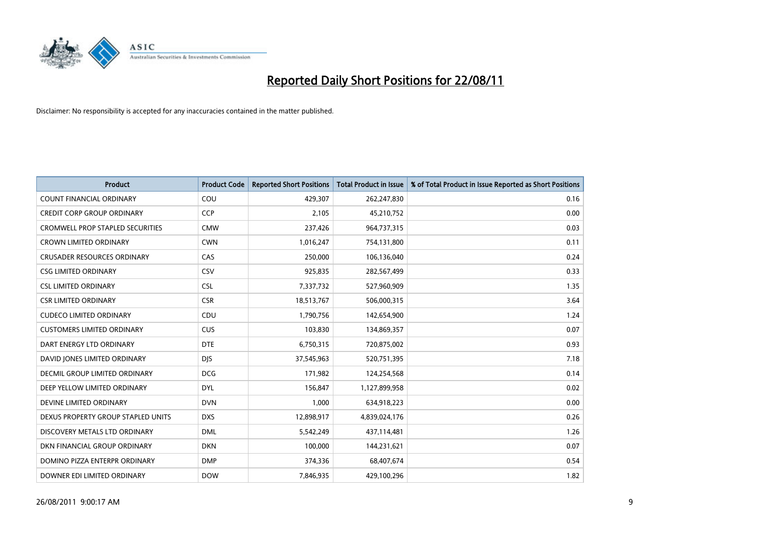

| <b>Product</b>                          | <b>Product Code</b> | <b>Reported Short Positions</b> | <b>Total Product in Issue</b> | % of Total Product in Issue Reported as Short Positions |
|-----------------------------------------|---------------------|---------------------------------|-------------------------------|---------------------------------------------------------|
| <b>COUNT FINANCIAL ORDINARY</b>         | COU                 | 429,307                         | 262,247,830                   | 0.16                                                    |
| <b>CREDIT CORP GROUP ORDINARY</b>       | <b>CCP</b>          | 2.105                           | 45,210,752                    | 0.00                                                    |
| <b>CROMWELL PROP STAPLED SECURITIES</b> | <b>CMW</b>          | 237,426                         | 964,737,315                   | 0.03                                                    |
| <b>CROWN LIMITED ORDINARY</b>           | <b>CWN</b>          | 1,016,247                       | 754,131,800                   | 0.11                                                    |
| <b>CRUSADER RESOURCES ORDINARY</b>      | CAS                 | 250.000                         | 106,136,040                   | 0.24                                                    |
| <b>CSG LIMITED ORDINARY</b>             | CSV                 | 925,835                         | 282,567,499                   | 0.33                                                    |
| <b>CSL LIMITED ORDINARY</b>             | <b>CSL</b>          | 7,337,732                       | 527,960,909                   | 1.35                                                    |
| <b>CSR LIMITED ORDINARY</b>             | <b>CSR</b>          | 18,513,767                      | 506,000,315                   | 3.64                                                    |
| <b>CUDECO LIMITED ORDINARY</b>          | CDU                 | 1,790,756                       | 142,654,900                   | 1.24                                                    |
| <b>CUSTOMERS LIMITED ORDINARY</b>       | <b>CUS</b>          | 103,830                         | 134,869,357                   | 0.07                                                    |
| DART ENERGY LTD ORDINARY                | <b>DTE</b>          | 6,750,315                       | 720,875,002                   | 0.93                                                    |
| DAVID JONES LIMITED ORDINARY            | <b>DJS</b>          | 37,545,963                      | 520,751,395                   | 7.18                                                    |
| DECMIL GROUP LIMITED ORDINARY           | <b>DCG</b>          | 171,982                         | 124,254,568                   | 0.14                                                    |
| DEEP YELLOW LIMITED ORDINARY            | <b>DYL</b>          | 156.847                         | 1,127,899,958                 | 0.02                                                    |
| DEVINE LIMITED ORDINARY                 | <b>DVN</b>          | 1,000                           | 634,918,223                   | 0.00                                                    |
| DEXUS PROPERTY GROUP STAPLED UNITS      | <b>DXS</b>          | 12,898,917                      | 4,839,024,176                 | 0.26                                                    |
| DISCOVERY METALS LTD ORDINARY           | <b>DML</b>          | 5,542,249                       | 437,114,481                   | 1.26                                                    |
| DKN FINANCIAL GROUP ORDINARY            | <b>DKN</b>          | 100,000                         | 144,231,621                   | 0.07                                                    |
| DOMINO PIZZA ENTERPR ORDINARY           | <b>DMP</b>          | 374,336                         | 68,407,674                    | 0.54                                                    |
| DOWNER EDI LIMITED ORDINARY             | <b>DOW</b>          | 7,846,935                       | 429,100,296                   | 1.82                                                    |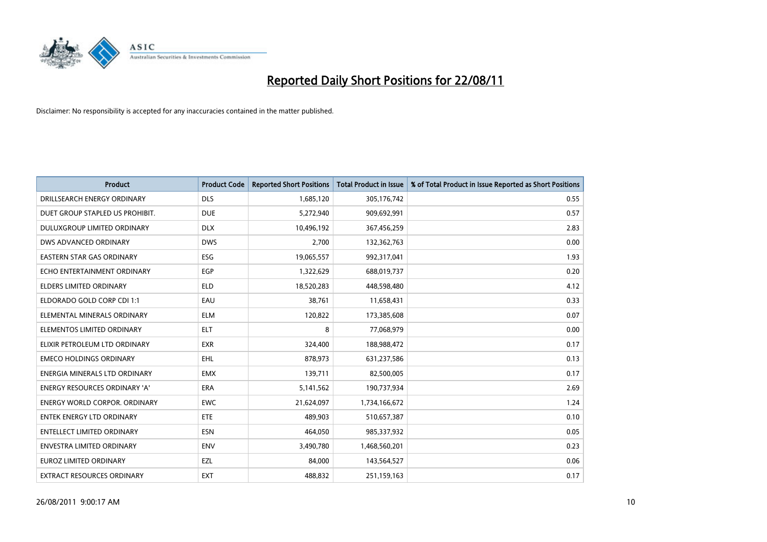

| <b>Product</b>                       | <b>Product Code</b> | <b>Reported Short Positions</b> | Total Product in Issue | % of Total Product in Issue Reported as Short Positions |
|--------------------------------------|---------------------|---------------------------------|------------------------|---------------------------------------------------------|
| DRILLSEARCH ENERGY ORDINARY          | <b>DLS</b>          | 1,685,120                       | 305,176,742            | 0.55                                                    |
| DUET GROUP STAPLED US PROHIBIT.      | <b>DUE</b>          | 5,272,940                       | 909,692,991            | 0.57                                                    |
| DULUXGROUP LIMITED ORDINARY          | <b>DLX</b>          | 10,496,192                      | 367,456,259            | 2.83                                                    |
| DWS ADVANCED ORDINARY                | <b>DWS</b>          | 2,700                           | 132,362,763            | 0.00                                                    |
| <b>EASTERN STAR GAS ORDINARY</b>     | ESG                 | 19,065,557                      | 992,317,041            | 1.93                                                    |
| ECHO ENTERTAINMENT ORDINARY          | EGP                 | 1,322,629                       | 688,019,737            | 0.20                                                    |
| ELDERS LIMITED ORDINARY              | <b>ELD</b>          | 18,520,283                      | 448,598,480            | 4.12                                                    |
| ELDORADO GOLD CORP CDI 1:1           | EAU                 | 38,761                          | 11,658,431             | 0.33                                                    |
| ELEMENTAL MINERALS ORDINARY          | <b>ELM</b>          | 120,822                         | 173,385,608            | 0.07                                                    |
| ELEMENTOS LIMITED ORDINARY           | <b>ELT</b>          | 8                               | 77,068,979             | 0.00                                                    |
| ELIXIR PETROLEUM LTD ORDINARY        | <b>EXR</b>          | 324,400                         | 188,988,472            | 0.17                                                    |
| <b>EMECO HOLDINGS ORDINARY</b>       | <b>EHL</b>          | 878,973                         | 631,237,586            | 0.13                                                    |
| ENERGIA MINERALS LTD ORDINARY        | <b>EMX</b>          | 139,711                         | 82,500,005             | 0.17                                                    |
| ENERGY RESOURCES ORDINARY 'A'        | ERA                 | 5,141,562                       | 190,737,934            | 2.69                                                    |
| <b>ENERGY WORLD CORPOR, ORDINARY</b> | <b>EWC</b>          | 21,624,097                      | 1,734,166,672          | 1.24                                                    |
| ENTEK ENERGY LTD ORDINARY            | ETE                 | 489,903                         | 510,657,387            | 0.10                                                    |
| ENTELLECT LIMITED ORDINARY           | <b>ESN</b>          | 464,050                         | 985,337,932            | 0.05                                                    |
| ENVESTRA LIMITED ORDINARY            | <b>ENV</b>          | 3,490,780                       | 1,468,560,201          | 0.23                                                    |
| EUROZ LIMITED ORDINARY               | EZL                 | 84,000                          | 143,564,527            | 0.06                                                    |
| EXTRACT RESOURCES ORDINARY           | <b>EXT</b>          | 488,832                         | 251,159,163            | 0.17                                                    |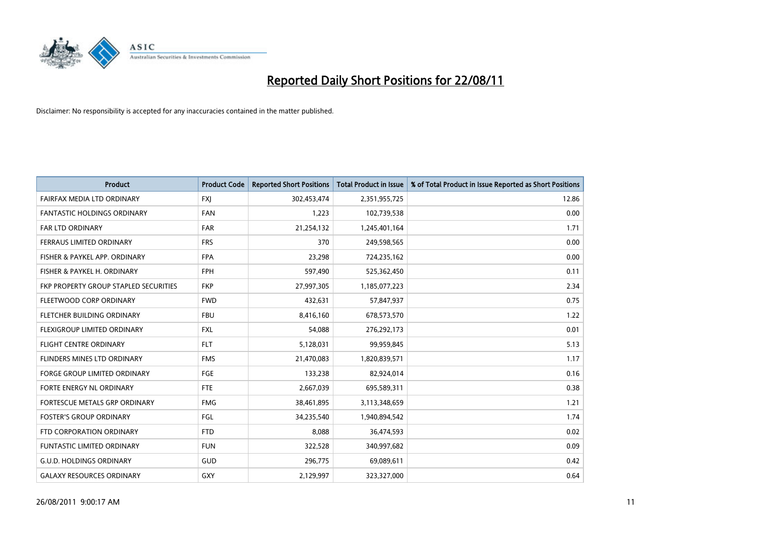

| <b>Product</b>                        | <b>Product Code</b> | <b>Reported Short Positions</b> | <b>Total Product in Issue</b> | % of Total Product in Issue Reported as Short Positions |
|---------------------------------------|---------------------|---------------------------------|-------------------------------|---------------------------------------------------------|
| FAIRFAX MEDIA LTD ORDINARY            | <b>FXJ</b>          | 302,453,474                     | 2,351,955,725                 | 12.86                                                   |
| FANTASTIC HOLDINGS ORDINARY           | <b>FAN</b>          | 1,223                           | 102,739,538                   | 0.00                                                    |
| <b>FAR LTD ORDINARY</b>               | <b>FAR</b>          | 21,254,132                      | 1,245,401,164                 | 1.71                                                    |
| FERRAUS LIMITED ORDINARY              | <b>FRS</b>          | 370                             | 249,598,565                   | 0.00                                                    |
| FISHER & PAYKEL APP. ORDINARY         | <b>FPA</b>          | 23,298                          | 724,235,162                   | 0.00                                                    |
| FISHER & PAYKEL H. ORDINARY           | <b>FPH</b>          | 597,490                         | 525,362,450                   | 0.11                                                    |
| FKP PROPERTY GROUP STAPLED SECURITIES | <b>FKP</b>          | 27,997,305                      | 1,185,077,223                 | 2.34                                                    |
| FLEETWOOD CORP ORDINARY               | <b>FWD</b>          | 432,631                         | 57,847,937                    | 0.75                                                    |
| FLETCHER BUILDING ORDINARY            | <b>FBU</b>          | 8,416,160                       | 678,573,570                   | 1.22                                                    |
| FLEXIGROUP LIMITED ORDINARY           | <b>FXL</b>          | 54,088                          | 276,292,173                   | 0.01                                                    |
| <b>FLIGHT CENTRE ORDINARY</b>         | <b>FLT</b>          | 5,128,031                       | 99,959,845                    | 5.13                                                    |
| FLINDERS MINES LTD ORDINARY           | <b>FMS</b>          | 21,470,083                      | 1,820,839,571                 | 1.17                                                    |
| <b>FORGE GROUP LIMITED ORDINARY</b>   | <b>FGE</b>          | 133,238                         | 82,924,014                    | 0.16                                                    |
| FORTE ENERGY NL ORDINARY              | <b>FTE</b>          | 2,667,039                       | 695,589,311                   | 0.38                                                    |
| FORTESCUE METALS GRP ORDINARY         | <b>FMG</b>          | 38,461,895                      | 3,113,348,659                 | 1.21                                                    |
| <b>FOSTER'S GROUP ORDINARY</b>        | FGL                 | 34,235,540                      | 1,940,894,542                 | 1.74                                                    |
| FTD CORPORATION ORDINARY              | <b>FTD</b>          | 8,088                           | 36,474,593                    | 0.02                                                    |
| FUNTASTIC LIMITED ORDINARY            | <b>FUN</b>          | 322,528                         | 340,997,682                   | 0.09                                                    |
| <b>G.U.D. HOLDINGS ORDINARY</b>       | GUD                 | 296,775                         | 69,089,611                    | 0.42                                                    |
| <b>GALAXY RESOURCES ORDINARY</b>      | GXY                 | 2,129,997                       | 323,327,000                   | 0.64                                                    |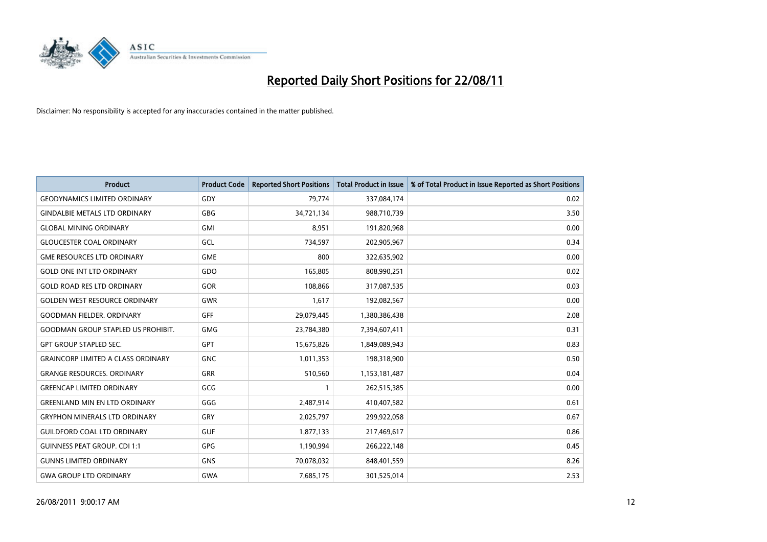

| <b>Product</b>                            | <b>Product Code</b> | <b>Reported Short Positions</b> | <b>Total Product in Issue</b> | % of Total Product in Issue Reported as Short Positions |
|-------------------------------------------|---------------------|---------------------------------|-------------------------------|---------------------------------------------------------|
| <b>GEODYNAMICS LIMITED ORDINARY</b>       | GDY                 | 79,774                          | 337,084,174                   | 0.02                                                    |
| <b>GINDALBIE METALS LTD ORDINARY</b>      | <b>GBG</b>          | 34,721,134                      | 988,710,739                   | 3.50                                                    |
| <b>GLOBAL MINING ORDINARY</b>             | <b>GMI</b>          | 8,951                           | 191,820,968                   | 0.00                                                    |
| <b>GLOUCESTER COAL ORDINARY</b>           | GCL                 | 734,597                         | 202,905,967                   | 0.34                                                    |
| <b>GME RESOURCES LTD ORDINARY</b>         | <b>GME</b>          | 800                             | 322,635,902                   | 0.00                                                    |
| <b>GOLD ONE INT LTD ORDINARY</b>          | GDO                 | 165,805                         | 808,990,251                   | 0.02                                                    |
| <b>GOLD ROAD RES LTD ORDINARY</b>         | GOR                 | 108,866                         | 317,087,535                   | 0.03                                                    |
| <b>GOLDEN WEST RESOURCE ORDINARY</b>      | <b>GWR</b>          | 1,617                           | 192,082,567                   | 0.00                                                    |
| <b>GOODMAN FIELDER, ORDINARY</b>          | <b>GFF</b>          | 29,079,445                      | 1,380,386,438                 | 2.08                                                    |
| <b>GOODMAN GROUP STAPLED US PROHIBIT.</b> | <b>GMG</b>          | 23,784,380                      | 7,394,607,411                 | 0.31                                                    |
| <b>GPT GROUP STAPLED SEC.</b>             | <b>GPT</b>          | 15,675,826                      | 1,849,089,943                 | 0.83                                                    |
| <b>GRAINCORP LIMITED A CLASS ORDINARY</b> | <b>GNC</b>          | 1,011,353                       | 198,318,900                   | 0.50                                                    |
| <b>GRANGE RESOURCES. ORDINARY</b>         | <b>GRR</b>          | 510,560                         | 1,153,181,487                 | 0.04                                                    |
| <b>GREENCAP LIMITED ORDINARY</b>          | GCG                 |                                 | 262,515,385                   | 0.00                                                    |
| <b>GREENLAND MIN EN LTD ORDINARY</b>      | GGG                 | 2,487,914                       | 410,407,582                   | 0.61                                                    |
| <b>GRYPHON MINERALS LTD ORDINARY</b>      | GRY                 | 2,025,797                       | 299,922,058                   | 0.67                                                    |
| <b>GUILDFORD COAL LTD ORDINARY</b>        | <b>GUF</b>          | 1,877,133                       | 217,469,617                   | 0.86                                                    |
| <b>GUINNESS PEAT GROUP. CDI 1:1</b>       | <b>GPG</b>          | 1,190,994                       | 266,222,148                   | 0.45                                                    |
| <b>GUNNS LIMITED ORDINARY</b>             | <b>GNS</b>          | 70,078,032                      | 848,401,559                   | 8.26                                                    |
| <b>GWA GROUP LTD ORDINARY</b>             | GWA                 | 7,685,175                       | 301,525,014                   | 2.53                                                    |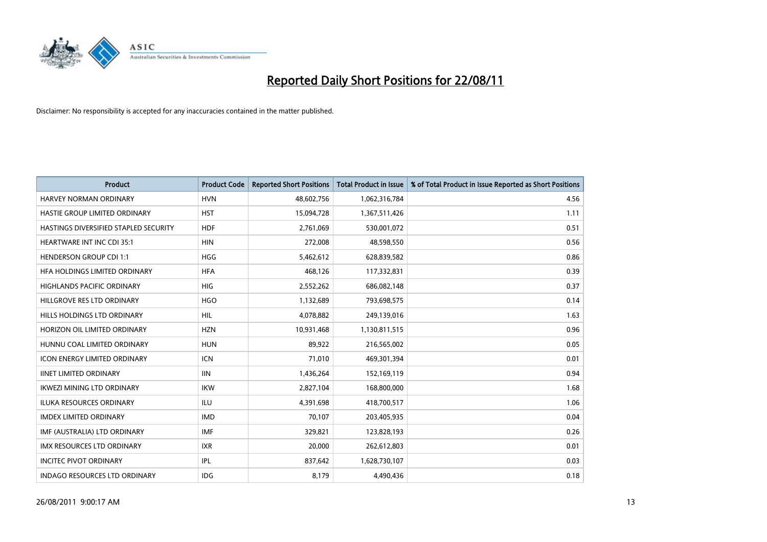

| <b>Product</b>                        | <b>Product Code</b> | <b>Reported Short Positions</b> | Total Product in Issue | % of Total Product in Issue Reported as Short Positions |
|---------------------------------------|---------------------|---------------------------------|------------------------|---------------------------------------------------------|
| <b>HARVEY NORMAN ORDINARY</b>         | <b>HVN</b>          | 48,602,756                      | 1,062,316,784          | 4.56                                                    |
| HASTIE GROUP LIMITED ORDINARY         | <b>HST</b>          | 15,094,728                      | 1,367,511,426          | 1.11                                                    |
| HASTINGS DIVERSIFIED STAPLED SECURITY | <b>HDF</b>          | 2,761,069                       | 530,001,072            | 0.51                                                    |
| <b>HEARTWARE INT INC CDI 35:1</b>     | <b>HIN</b>          | 272,008                         | 48,598,550             | 0.56                                                    |
| <b>HENDERSON GROUP CDI 1:1</b>        | <b>HGG</b>          | 5,462,612                       | 628,839,582            | 0.86                                                    |
| HFA HOLDINGS LIMITED ORDINARY         | <b>HFA</b>          | 468.126                         | 117,332,831            | 0.39                                                    |
| HIGHLANDS PACIFIC ORDINARY            | <b>HIG</b>          | 2,552,262                       | 686,082,148            | 0.37                                                    |
| HILLGROVE RES LTD ORDINARY            | <b>HGO</b>          | 1,132,689                       | 793,698,575            | 0.14                                                    |
| HILLS HOLDINGS LTD ORDINARY           | <b>HIL</b>          | 4,078,882                       | 249,139,016            | 1.63                                                    |
| HORIZON OIL LIMITED ORDINARY          | <b>HZN</b>          | 10,931,468                      | 1,130,811,515          | 0.96                                                    |
| HUNNU COAL LIMITED ORDINARY           | <b>HUN</b>          | 89,922                          | 216,565,002            | 0.05                                                    |
| <b>ICON ENERGY LIMITED ORDINARY</b>   | <b>ICN</b>          | 71,010                          | 469,301,394            | 0.01                                                    |
| <b>IINET LIMITED ORDINARY</b>         | IIIN                | 1,436,264                       | 152,169,119            | 0.94                                                    |
| <b>IKWEZI MINING LTD ORDINARY</b>     | <b>IKW</b>          | 2,827,104                       | 168,800,000            | 1.68                                                    |
| <b>ILUKA RESOURCES ORDINARY</b>       | <b>ILU</b>          | 4,391,698                       | 418,700,517            | 1.06                                                    |
| <b>IMDEX LIMITED ORDINARY</b>         | <b>IMD</b>          | 70,107                          | 203,405,935            | 0.04                                                    |
| IMF (AUSTRALIA) LTD ORDINARY          | <b>IMF</b>          | 329,821                         | 123,828,193            | 0.26                                                    |
| IMX RESOURCES LTD ORDINARY            | <b>IXR</b>          | 20,000                          | 262,612,803            | 0.01                                                    |
| <b>INCITEC PIVOT ORDINARY</b>         | IPL                 | 837,642                         | 1,628,730,107          | 0.03                                                    |
| <b>INDAGO RESOURCES LTD ORDINARY</b>  | <b>IDG</b>          | 8,179                           | 4,490,436              | 0.18                                                    |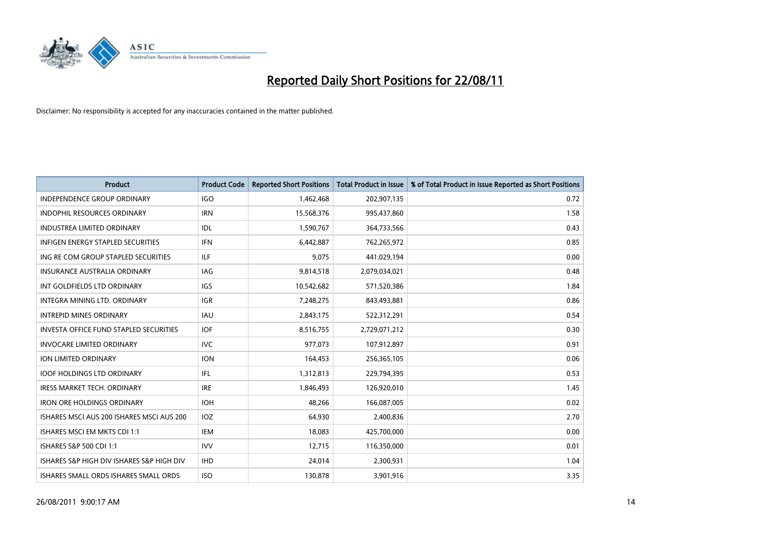

| <b>Product</b>                            | <b>Product Code</b> | <b>Reported Short Positions</b> | Total Product in Issue | % of Total Product in Issue Reported as Short Positions |
|-------------------------------------------|---------------------|---------------------------------|------------------------|---------------------------------------------------------|
| <b>INDEPENDENCE GROUP ORDINARY</b>        | <b>IGO</b>          | 1,462,468                       | 202,907,135            | 0.72                                                    |
| INDOPHIL RESOURCES ORDINARY               | <b>IRN</b>          | 15,568,376                      | 995,437,860            | 1.58                                                    |
| <b>INDUSTREA LIMITED ORDINARY</b>         | IDL                 | 1,590,767                       | 364,733,566            | 0.43                                                    |
| INFIGEN ENERGY STAPLED SECURITIES         | <b>IFN</b>          | 6,442,887                       | 762,265,972            | 0.85                                                    |
| ING RE COM GROUP STAPLED SECURITIES       | <b>ILF</b>          | 9,075                           | 441,029,194            | 0.00                                                    |
| <b>INSURANCE AUSTRALIA ORDINARY</b>       | IAG                 | 9,814,518                       | 2,079,034,021          | 0.48                                                    |
| INT GOLDFIELDS LTD ORDINARY               | <b>IGS</b>          | 10,542,682                      | 571,520,386            | 1.84                                                    |
| INTEGRA MINING LTD, ORDINARY              | <b>IGR</b>          | 7,248,275                       | 843,493,881            | 0.86                                                    |
| <b>INTREPID MINES ORDINARY</b>            | <b>IAU</b>          | 2,843,175                       | 522,312,291            | 0.54                                                    |
| INVESTA OFFICE FUND STAPLED SECURITIES    | <b>IOF</b>          | 8,516,755                       | 2,729,071,212          | 0.30                                                    |
| <b>INVOCARE LIMITED ORDINARY</b>          | <b>IVC</b>          | 977,073                         | 107,912,897            | 0.91                                                    |
| <b>ION LIMITED ORDINARY</b>               | <b>ION</b>          | 164,453                         | 256,365,105            | 0.06                                                    |
| <b>IOOF HOLDINGS LTD ORDINARY</b>         | <b>IFL</b>          | 1,312,813                       | 229,794,395            | 0.53                                                    |
| <b>IRESS MARKET TECH. ORDINARY</b>        | <b>IRE</b>          | 1,846,493                       | 126,920,010            | 1.45                                                    |
| <b>IRON ORE HOLDINGS ORDINARY</b>         | <b>IOH</b>          | 48,266                          | 166,087,005            | 0.02                                                    |
| ISHARES MSCI AUS 200 ISHARES MSCI AUS 200 | IOZ                 | 64,930                          | 2,400,836              | 2.70                                                    |
| ISHARES MSCI EM MKTS CDI 1:1              | <b>IEM</b>          | 18,083                          | 425,700,000            | 0.00                                                    |
| <b>ISHARES S&amp;P 500 CDI 1:1</b>        | <b>IVV</b>          | 12,715                          | 116,350,000            | 0.01                                                    |
| ISHARES S&P HIGH DIV ISHARES S&P HIGH DIV | <b>IHD</b>          | 24,014                          | 2,300,931              | 1.04                                                    |
| ISHARES SMALL ORDS ISHARES SMALL ORDS     | <b>ISO</b>          | 130,878                         | 3,901,916              | 3.35                                                    |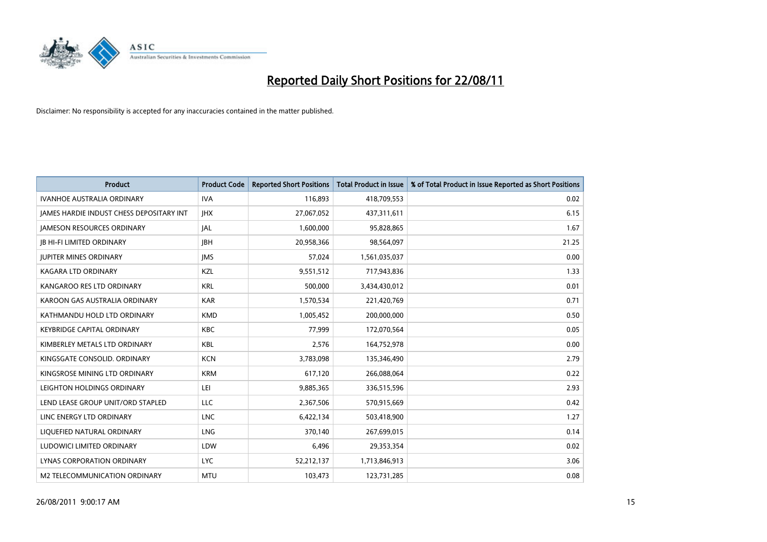

| <b>Product</b>                           | <b>Product Code</b> | <b>Reported Short Positions</b> | <b>Total Product in Issue</b> | % of Total Product in Issue Reported as Short Positions |
|------------------------------------------|---------------------|---------------------------------|-------------------------------|---------------------------------------------------------|
| <b>IVANHOE AUSTRALIA ORDINARY</b>        | <b>IVA</b>          | 116,893                         | 418,709,553                   | 0.02                                                    |
| JAMES HARDIE INDUST CHESS DEPOSITARY INT | <b>IHX</b>          | 27,067,052                      | 437,311,611                   | 6.15                                                    |
| <b>JAMESON RESOURCES ORDINARY</b>        | IAL                 | 1,600,000                       | 95,828,865                    | 1.67                                                    |
| <b>JB HI-FI LIMITED ORDINARY</b>         | <b>IBH</b>          | 20,958,366                      | 98,564,097                    | 21.25                                                   |
| <b>JUPITER MINES ORDINARY</b>            | <b>IMS</b>          | 57,024                          | 1,561,035,037                 | 0.00                                                    |
| <b>KAGARA LTD ORDINARY</b>               | KZL                 | 9,551,512                       | 717,943,836                   | 1.33                                                    |
| KANGAROO RES LTD ORDINARY                | <b>KRL</b>          | 500,000                         | 3,434,430,012                 | 0.01                                                    |
| KAROON GAS AUSTRALIA ORDINARY            | <b>KAR</b>          | 1,570,534                       | 221,420,769                   | 0.71                                                    |
| KATHMANDU HOLD LTD ORDINARY              | <b>KMD</b>          | 1,005,452                       | 200,000,000                   | 0.50                                                    |
| <b>KEYBRIDGE CAPITAL ORDINARY</b>        | <b>KBC</b>          | 77,999                          | 172,070,564                   | 0.05                                                    |
| KIMBERLEY METALS LTD ORDINARY            | <b>KBL</b>          | 2,576                           | 164,752,978                   | 0.00                                                    |
| KINGSGATE CONSOLID, ORDINARY             | <b>KCN</b>          | 3,783,098                       | 135,346,490                   | 2.79                                                    |
| KINGSROSE MINING LTD ORDINARY            | <b>KRM</b>          | 617,120                         | 266,088,064                   | 0.22                                                    |
| LEIGHTON HOLDINGS ORDINARY               | LEI                 | 9,885,365                       | 336,515,596                   | 2.93                                                    |
| LEND LEASE GROUP UNIT/ORD STAPLED        | <b>LLC</b>          | 2,367,506                       | 570,915,669                   | 0.42                                                    |
| LINC ENERGY LTD ORDINARY                 | <b>LNC</b>          | 6,422,134                       | 503,418,900                   | 1.27                                                    |
| LIQUEFIED NATURAL ORDINARY               | LNG                 | 370,140                         | 267,699,015                   | 0.14                                                    |
| LUDOWICI LIMITED ORDINARY                | LDW                 | 6,496                           | 29,353,354                    | 0.02                                                    |
| LYNAS CORPORATION ORDINARY               | <b>LYC</b>          | 52,212,137                      | 1,713,846,913                 | 3.06                                                    |
| M2 TELECOMMUNICATION ORDINARY            | <b>MTU</b>          | 103,473                         | 123,731,285                   | 0.08                                                    |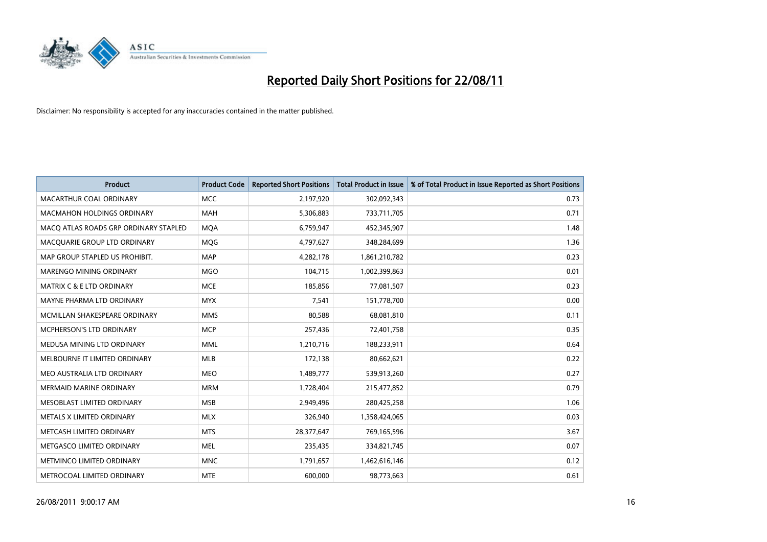

| <b>Product</b>                        | <b>Product Code</b> | <b>Reported Short Positions</b> | <b>Total Product in Issue</b> | % of Total Product in Issue Reported as Short Positions |
|---------------------------------------|---------------------|---------------------------------|-------------------------------|---------------------------------------------------------|
| MACARTHUR COAL ORDINARY               | <b>MCC</b>          | 2,197,920                       | 302,092,343                   | 0.73                                                    |
| <b>MACMAHON HOLDINGS ORDINARY</b>     | <b>MAH</b>          | 5,306,883                       | 733,711,705                   | 0.71                                                    |
| MACQ ATLAS ROADS GRP ORDINARY STAPLED | <b>MOA</b>          | 6,759,947                       | 452,345,907                   | 1.48                                                    |
| MACQUARIE GROUP LTD ORDINARY          | <b>MOG</b>          | 4,797,627                       | 348,284,699                   | 1.36                                                    |
| MAP GROUP STAPLED US PROHIBIT.        | <b>MAP</b>          | 4,282,178                       | 1,861,210,782                 | 0.23                                                    |
| MARENGO MINING ORDINARY               | <b>MGO</b>          | 104,715                         | 1,002,399,863                 | 0.01                                                    |
| <b>MATRIX C &amp; E LTD ORDINARY</b>  | <b>MCE</b>          | 185,856                         | 77,081,507                    | 0.23                                                    |
| MAYNE PHARMA LTD ORDINARY             | <b>MYX</b>          | 7,541                           | 151,778,700                   | 0.00                                                    |
| MCMILLAN SHAKESPEARE ORDINARY         | <b>MMS</b>          | 80,588                          | 68,081,810                    | 0.11                                                    |
| MCPHERSON'S LTD ORDINARY              | <b>MCP</b>          | 257,436                         | 72,401,758                    | 0.35                                                    |
| MEDUSA MINING LTD ORDINARY            | <b>MML</b>          | 1,210,716                       | 188,233,911                   | 0.64                                                    |
| MELBOURNE IT LIMITED ORDINARY         | <b>MLB</b>          | 172,138                         | 80,662,621                    | 0.22                                                    |
| MEO AUSTRALIA LTD ORDINARY            | <b>MEO</b>          | 1,489,777                       | 539,913,260                   | 0.27                                                    |
| <b>MERMAID MARINE ORDINARY</b>        | <b>MRM</b>          | 1,728,404                       | 215,477,852                   | 0.79                                                    |
| MESOBLAST LIMITED ORDINARY            | <b>MSB</b>          | 2,949,496                       | 280,425,258                   | 1.06                                                    |
| METALS X LIMITED ORDINARY             | <b>MLX</b>          | 326,940                         | 1,358,424,065                 | 0.03                                                    |
| METCASH LIMITED ORDINARY              | <b>MTS</b>          | 28,377,647                      | 769,165,596                   | 3.67                                                    |
| METGASCO LIMITED ORDINARY             | <b>MEL</b>          | 235,435                         | 334,821,745                   | 0.07                                                    |
| METMINCO LIMITED ORDINARY             | <b>MNC</b>          | 1,791,657                       | 1,462,616,146                 | 0.12                                                    |
| METROCOAL LIMITED ORDINARY            | <b>MTE</b>          | 600,000                         | 98,773,663                    | 0.61                                                    |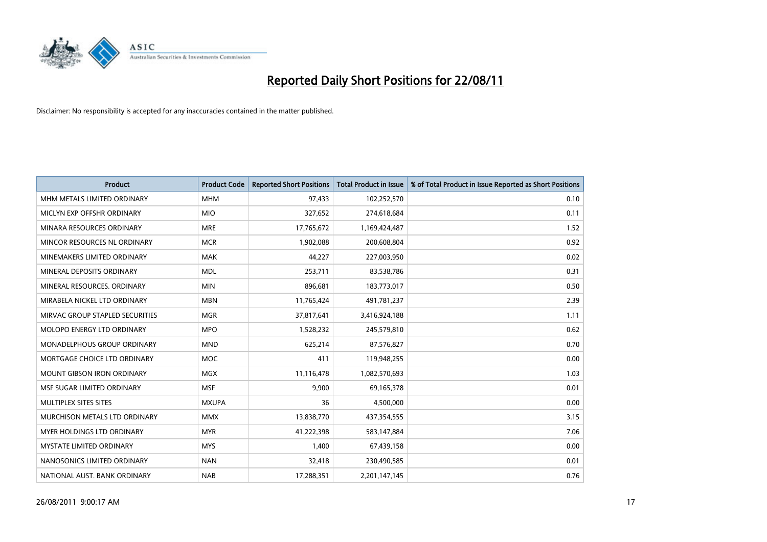

| <b>Product</b>                     | <b>Product Code</b> | <b>Reported Short Positions</b> | <b>Total Product in Issue</b> | % of Total Product in Issue Reported as Short Positions |
|------------------------------------|---------------------|---------------------------------|-------------------------------|---------------------------------------------------------|
| MHM METALS LIMITED ORDINARY        | <b>MHM</b>          | 97,433                          | 102,252,570                   | 0.10                                                    |
| MICLYN EXP OFFSHR ORDINARY         | <b>MIO</b>          | 327,652                         | 274,618,684                   | 0.11                                                    |
| MINARA RESOURCES ORDINARY          | <b>MRE</b>          | 17,765,672                      | 1,169,424,487                 | 1.52                                                    |
| MINCOR RESOURCES NL ORDINARY       | <b>MCR</b>          | 1,902,088                       | 200,608,804                   | 0.92                                                    |
| MINEMAKERS LIMITED ORDINARY        | <b>MAK</b>          | 44,227                          | 227,003,950                   | 0.02                                                    |
| MINERAL DEPOSITS ORDINARY          | <b>MDL</b>          | 253,711                         | 83,538,786                    | 0.31                                                    |
| MINERAL RESOURCES. ORDINARY        | <b>MIN</b>          | 896,681                         | 183,773,017                   | 0.50                                                    |
| MIRABELA NICKEL LTD ORDINARY       | <b>MBN</b>          | 11,765,424                      | 491,781,237                   | 2.39                                                    |
| MIRVAC GROUP STAPLED SECURITIES    | <b>MGR</b>          | 37,817,641                      | 3,416,924,188                 | 1.11                                                    |
| MOLOPO ENERGY LTD ORDINARY         | <b>MPO</b>          | 1,528,232                       | 245,579,810                   | 0.62                                                    |
| <b>MONADELPHOUS GROUP ORDINARY</b> | <b>MND</b>          | 625,214                         | 87,576,827                    | 0.70                                                    |
| MORTGAGE CHOICE LTD ORDINARY       | MOC                 | 411                             | 119,948,255                   | 0.00                                                    |
| <b>MOUNT GIBSON IRON ORDINARY</b>  | <b>MGX</b>          | 11,116,478                      | 1,082,570,693                 | 1.03                                                    |
| MSF SUGAR LIMITED ORDINARY         | <b>MSF</b>          | 9,900                           | 69,165,378                    | 0.01                                                    |
| MULTIPLEX SITES SITES              | <b>MXUPA</b>        | 36                              | 4,500,000                     | 0.00                                                    |
| MURCHISON METALS LTD ORDINARY      | <b>MMX</b>          | 13,838,770                      | 437,354,555                   | 3.15                                                    |
| <b>MYER HOLDINGS LTD ORDINARY</b>  | <b>MYR</b>          | 41,222,398                      | 583,147,884                   | 7.06                                                    |
| <b>MYSTATE LIMITED ORDINARY</b>    | <b>MYS</b>          | 1,400                           | 67,439,158                    | 0.00                                                    |
| NANOSONICS LIMITED ORDINARY        | <b>NAN</b>          | 32,418                          | 230,490,585                   | 0.01                                                    |
| NATIONAL AUST. BANK ORDINARY       | <b>NAB</b>          | 17,288,351                      | 2,201,147,145                 | 0.76                                                    |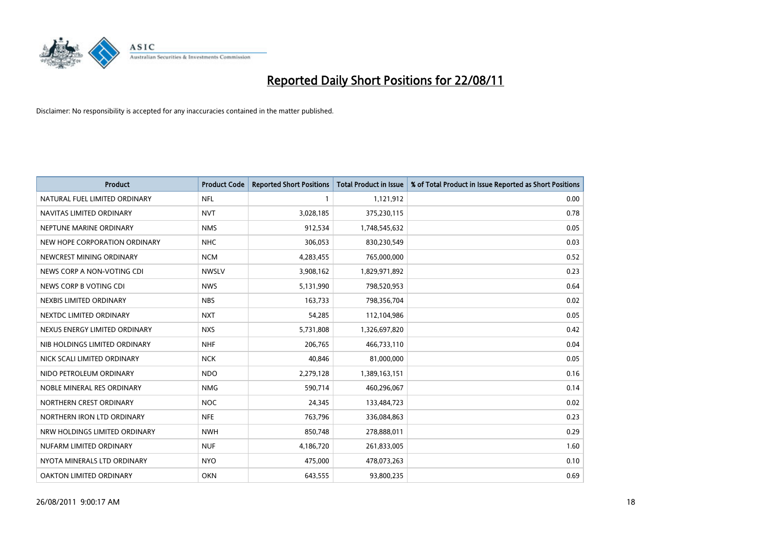

| <b>Product</b>                | <b>Product Code</b> | <b>Reported Short Positions</b> | <b>Total Product in Issue</b> | % of Total Product in Issue Reported as Short Positions |
|-------------------------------|---------------------|---------------------------------|-------------------------------|---------------------------------------------------------|
| NATURAL FUEL LIMITED ORDINARY | <b>NFL</b>          |                                 | 1,121,912                     | 0.00                                                    |
| NAVITAS LIMITED ORDINARY      | <b>NVT</b>          | 3,028,185                       | 375,230,115                   | 0.78                                                    |
| NEPTUNE MARINE ORDINARY       | <b>NMS</b>          | 912,534                         | 1,748,545,632                 | 0.05                                                    |
| NEW HOPE CORPORATION ORDINARY | <b>NHC</b>          | 306,053                         | 830,230,549                   | 0.03                                                    |
| NEWCREST MINING ORDINARY      | <b>NCM</b>          | 4,283,455                       | 765,000,000                   | 0.52                                                    |
| NEWS CORP A NON-VOTING CDI    | <b>NWSLV</b>        | 3,908,162                       | 1,829,971,892                 | 0.23                                                    |
| NEWS CORP B VOTING CDI        | <b>NWS</b>          | 5,131,990                       | 798,520,953                   | 0.64                                                    |
| NEXBIS LIMITED ORDINARY       | <b>NBS</b>          | 163,733                         | 798,356,704                   | 0.02                                                    |
| NEXTDC LIMITED ORDINARY       | <b>NXT</b>          | 54,285                          | 112,104,986                   | 0.05                                                    |
| NEXUS ENERGY LIMITED ORDINARY | <b>NXS</b>          | 5,731,808                       | 1,326,697,820                 | 0.42                                                    |
| NIB HOLDINGS LIMITED ORDINARY | <b>NHF</b>          | 206,765                         | 466,733,110                   | 0.04                                                    |
| NICK SCALI LIMITED ORDINARY   | <b>NCK</b>          | 40,846                          | 81,000,000                    | 0.05                                                    |
| NIDO PETROLEUM ORDINARY       | <b>NDO</b>          | 2,279,128                       | 1,389,163,151                 | 0.16                                                    |
| NOBLE MINERAL RES ORDINARY    | <b>NMG</b>          | 590,714                         | 460,296,067                   | 0.14                                                    |
| NORTHERN CREST ORDINARY       | <b>NOC</b>          | 24,345                          | 133,484,723                   | 0.02                                                    |
| NORTHERN IRON LTD ORDINARY    | <b>NFE</b>          | 763,796                         | 336,084,863                   | 0.23                                                    |
| NRW HOLDINGS LIMITED ORDINARY | <b>NWH</b>          | 850,748                         | 278,888,011                   | 0.29                                                    |
| NUFARM LIMITED ORDINARY       | <b>NUF</b>          | 4,186,720                       | 261,833,005                   | 1.60                                                    |
| NYOTA MINERALS LTD ORDINARY   | <b>NYO</b>          | 475,000                         | 478,073,263                   | 0.10                                                    |
| OAKTON LIMITED ORDINARY       | <b>OKN</b>          | 643,555                         | 93,800,235                    | 0.69                                                    |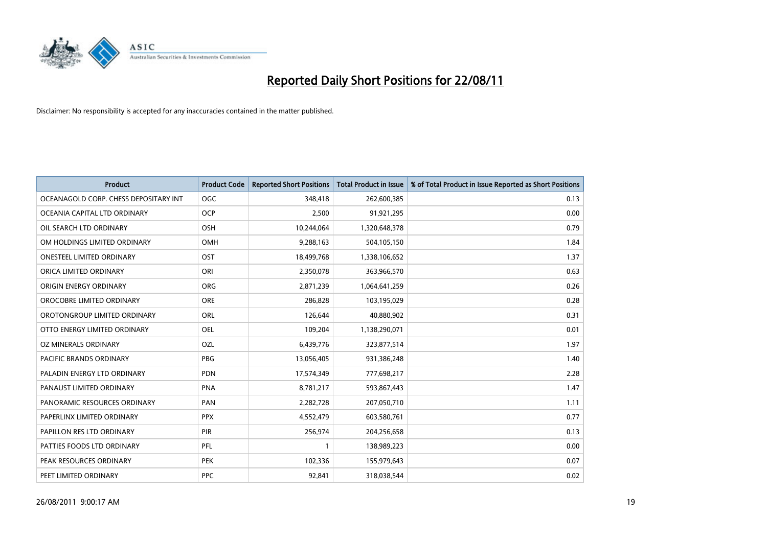

| <b>Product</b>                        | <b>Product Code</b> | <b>Reported Short Positions</b> | <b>Total Product in Issue</b> | % of Total Product in Issue Reported as Short Positions |
|---------------------------------------|---------------------|---------------------------------|-------------------------------|---------------------------------------------------------|
| OCEANAGOLD CORP. CHESS DEPOSITARY INT | <b>OGC</b>          | 348,418                         | 262,600,385                   | 0.13                                                    |
| OCEANIA CAPITAL LTD ORDINARY          | <b>OCP</b>          | 2,500                           | 91,921,295                    | 0.00                                                    |
| OIL SEARCH LTD ORDINARY               | <b>OSH</b>          | 10,244,064                      | 1,320,648,378                 | 0.79                                                    |
| OM HOLDINGS LIMITED ORDINARY          | OMH                 | 9,288,163                       | 504,105,150                   | 1.84                                                    |
| <b>ONESTEEL LIMITED ORDINARY</b>      | OST                 | 18,499,768                      | 1,338,106,652                 | 1.37                                                    |
| ORICA LIMITED ORDINARY                | ORI                 | 2,350,078                       | 363,966,570                   | 0.63                                                    |
| ORIGIN ENERGY ORDINARY                | <b>ORG</b>          | 2,871,239                       | 1,064,641,259                 | 0.26                                                    |
| OROCOBRE LIMITED ORDINARY             | <b>ORE</b>          | 286,828                         | 103,195,029                   | 0.28                                                    |
| OROTONGROUP LIMITED ORDINARY          | ORL                 | 126,644                         | 40,880,902                    | 0.31                                                    |
| OTTO ENERGY LIMITED ORDINARY          | <b>OEL</b>          | 109,204                         | 1,138,290,071                 | 0.01                                                    |
| OZ MINERALS ORDINARY                  | OZL                 | 6,439,776                       | 323,877,514                   | 1.97                                                    |
| PACIFIC BRANDS ORDINARY               | <b>PBG</b>          | 13,056,405                      | 931,386,248                   | 1.40                                                    |
| PALADIN ENERGY LTD ORDINARY           | <b>PDN</b>          | 17,574,349                      | 777,698,217                   | 2.28                                                    |
| PANAUST LIMITED ORDINARY              | <b>PNA</b>          | 8,781,217                       | 593,867,443                   | 1.47                                                    |
| PANORAMIC RESOURCES ORDINARY          | PAN                 | 2,282,728                       | 207,050,710                   | 1.11                                                    |
| PAPERLINX LIMITED ORDINARY            | <b>PPX</b>          | 4,552,479                       | 603,580,761                   | 0.77                                                    |
| PAPILLON RES LTD ORDINARY             | PIR                 | 256,974                         | 204,256,658                   | 0.13                                                    |
| PATTIES FOODS LTD ORDINARY            | PFL                 |                                 | 138,989,223                   | 0.00                                                    |
| PEAK RESOURCES ORDINARY               | <b>PEK</b>          | 102,336                         | 155,979,643                   | 0.07                                                    |
| PEET LIMITED ORDINARY                 | <b>PPC</b>          | 92,841                          | 318,038,544                   | 0.02                                                    |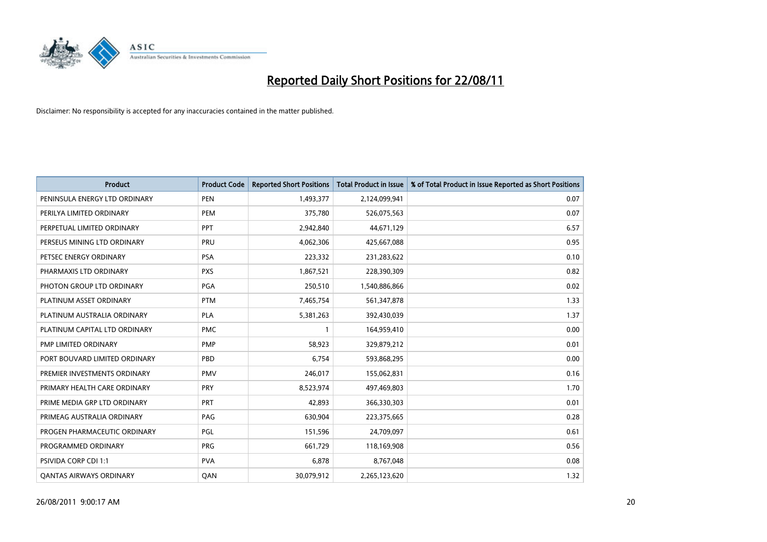

| <b>Product</b>                 | <b>Product Code</b> | <b>Reported Short Positions</b> | <b>Total Product in Issue</b> | % of Total Product in Issue Reported as Short Positions |
|--------------------------------|---------------------|---------------------------------|-------------------------------|---------------------------------------------------------|
| PENINSULA ENERGY LTD ORDINARY  | <b>PEN</b>          | 1,493,377                       | 2,124,099,941                 | 0.07                                                    |
| PERILYA LIMITED ORDINARY       | <b>PEM</b>          | 375,780                         | 526,075,563                   | 0.07                                                    |
| PERPETUAL LIMITED ORDINARY     | PPT                 | 2,942,840                       | 44,671,129                    | 6.57                                                    |
| PERSEUS MINING LTD ORDINARY    | PRU                 | 4,062,306                       | 425,667,088                   | 0.95                                                    |
| PETSEC ENERGY ORDINARY         | <b>PSA</b>          | 223,332                         | 231,283,622                   | 0.10                                                    |
| PHARMAXIS LTD ORDINARY         | <b>PXS</b>          | 1,867,521                       | 228,390,309                   | 0.82                                                    |
| PHOTON GROUP LTD ORDINARY      | <b>PGA</b>          | 250,510                         | 1,540,886,866                 | 0.02                                                    |
| PLATINUM ASSET ORDINARY        | <b>PTM</b>          | 7,465,754                       | 561,347,878                   | 1.33                                                    |
| PLATINUM AUSTRALIA ORDINARY    | PLA                 | 5,381,263                       | 392,430,039                   | 1.37                                                    |
| PLATINUM CAPITAL LTD ORDINARY  | <b>PMC</b>          |                                 | 164,959,410                   | 0.00                                                    |
| PMP LIMITED ORDINARY           | <b>PMP</b>          | 58,923                          | 329,879,212                   | 0.01                                                    |
| PORT BOUVARD LIMITED ORDINARY  | PBD                 | 6,754                           | 593,868,295                   | 0.00                                                    |
| PREMIER INVESTMENTS ORDINARY   | <b>PMV</b>          | 246,017                         | 155,062,831                   | 0.16                                                    |
| PRIMARY HEALTH CARE ORDINARY   | <b>PRY</b>          | 8,523,974                       | 497,469,803                   | 1.70                                                    |
| PRIME MEDIA GRP LTD ORDINARY   | PRT                 | 42,893                          | 366,330,303                   | 0.01                                                    |
| PRIMEAG AUSTRALIA ORDINARY     | PAG                 | 630,904                         | 223,375,665                   | 0.28                                                    |
| PROGEN PHARMACEUTIC ORDINARY   | PGL                 | 151,596                         | 24,709,097                    | 0.61                                                    |
| PROGRAMMED ORDINARY            | <b>PRG</b>          | 661,729                         | 118,169,908                   | 0.56                                                    |
| PSIVIDA CORP CDI 1:1           | <b>PVA</b>          | 6,878                           | 8,767,048                     | 0.08                                                    |
| <b>QANTAS AIRWAYS ORDINARY</b> | QAN                 | 30,079,912                      | 2,265,123,620                 | 1.32                                                    |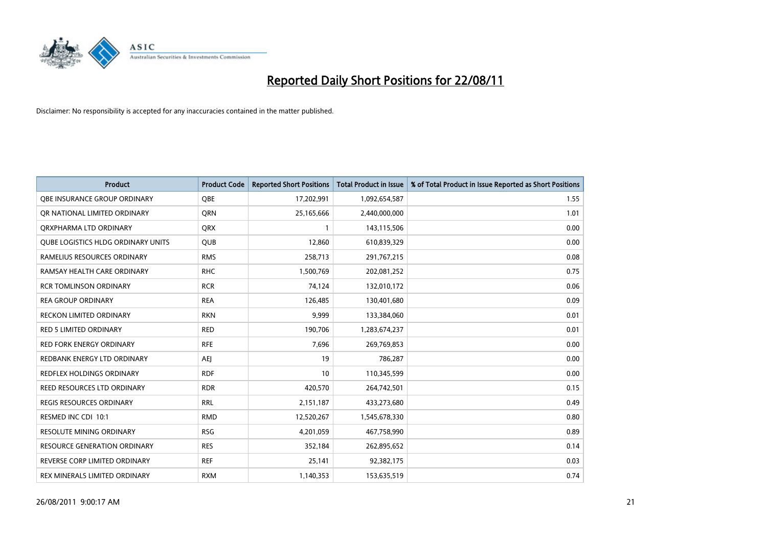

| <b>Product</b>                     | <b>Product Code</b> | <b>Reported Short Positions</b> | Total Product in Issue | % of Total Product in Issue Reported as Short Positions |
|------------------------------------|---------------------|---------------------------------|------------------------|---------------------------------------------------------|
| OBE INSURANCE GROUP ORDINARY       | <b>QBE</b>          | 17,202,991                      | 1,092,654,587          | 1.55                                                    |
| OR NATIONAL LIMITED ORDINARY       | <b>ORN</b>          | 25,165,666                      | 2,440,000,000          | 1.01                                                    |
| QRXPHARMA LTD ORDINARY             | <b>ORX</b>          |                                 | 143,115,506            | 0.00                                                    |
| QUBE LOGISTICS HLDG ORDINARY UNITS | <b>QUB</b>          | 12,860                          | 610,839,329            | 0.00                                                    |
| RAMELIUS RESOURCES ORDINARY        | <b>RMS</b>          | 258,713                         | 291,767,215            | 0.08                                                    |
| RAMSAY HEALTH CARE ORDINARY        | <b>RHC</b>          | 1,500,769                       | 202,081,252            | 0.75                                                    |
| <b>RCR TOMLINSON ORDINARY</b>      | <b>RCR</b>          | 74,124                          | 132,010,172            | 0.06                                                    |
| <b>REA GROUP ORDINARY</b>          | <b>REA</b>          | 126,485                         | 130,401,680            | 0.09                                                    |
| RECKON LIMITED ORDINARY            | <b>RKN</b>          | 9,999                           | 133,384,060            | 0.01                                                    |
| <b>RED 5 LIMITED ORDINARY</b>      | <b>RED</b>          | 190,706                         | 1,283,674,237          | 0.01                                                    |
| <b>RED FORK ENERGY ORDINARY</b>    | <b>RFE</b>          | 7,696                           | 269,769,853            | 0.00                                                    |
| REDBANK ENERGY LTD ORDINARY        | <b>AEI</b>          | 19                              | 786,287                | 0.00                                                    |
| REDFLEX HOLDINGS ORDINARY          | <b>RDF</b>          | 10                              | 110,345,599            | 0.00                                                    |
| <b>REED RESOURCES LTD ORDINARY</b> | <b>RDR</b>          | 420,570                         | 264,742,501            | 0.15                                                    |
| <b>REGIS RESOURCES ORDINARY</b>    | <b>RRL</b>          | 2,151,187                       | 433,273,680            | 0.49                                                    |
| RESMED INC CDI 10:1                | <b>RMD</b>          | 12,520,267                      | 1,545,678,330          | 0.80                                                    |
| <b>RESOLUTE MINING ORDINARY</b>    | <b>RSG</b>          | 4,201,059                       | 467,758,990            | 0.89                                                    |
| RESOURCE GENERATION ORDINARY       | <b>RES</b>          | 352,184                         | 262,895,652            | 0.14                                                    |
| REVERSE CORP LIMITED ORDINARY      | <b>REF</b>          | 25,141                          | 92,382,175             | 0.03                                                    |
| REX MINERALS LIMITED ORDINARY      | <b>RXM</b>          | 1,140,353                       | 153,635,519            | 0.74                                                    |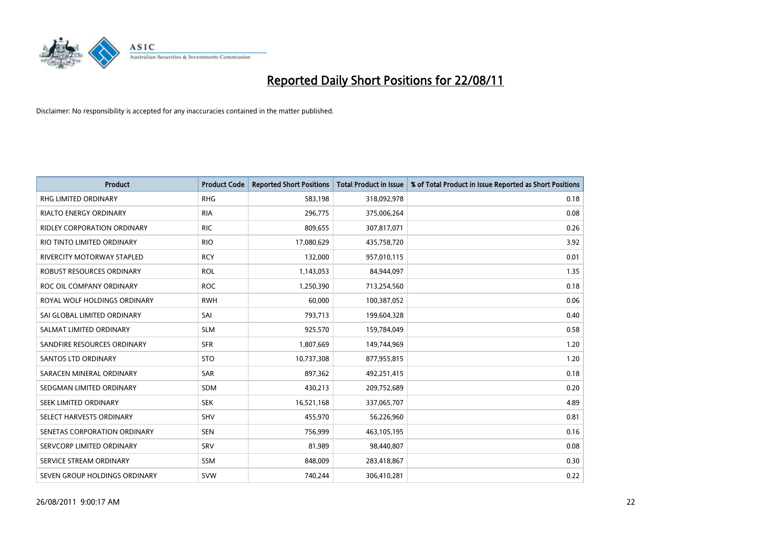

| <b>Product</b>                     | <b>Product Code</b> | <b>Reported Short Positions</b> | <b>Total Product in Issue</b> | % of Total Product in Issue Reported as Short Positions |
|------------------------------------|---------------------|---------------------------------|-------------------------------|---------------------------------------------------------|
| <b>RHG LIMITED ORDINARY</b>        | <b>RHG</b>          | 583,198                         | 318,092,978                   | 0.18                                                    |
| RIALTO ENERGY ORDINARY             | <b>RIA</b>          | 296,775                         | 375,006,264                   | 0.08                                                    |
| <b>RIDLEY CORPORATION ORDINARY</b> | <b>RIC</b>          | 809,655                         | 307,817,071                   | 0.26                                                    |
| RIO TINTO LIMITED ORDINARY         | <b>RIO</b>          | 17,080,629                      | 435,758,720                   | 3.92                                                    |
| <b>RIVERCITY MOTORWAY STAPLED</b>  | <b>RCY</b>          | 132,000                         | 957,010,115                   | 0.01                                                    |
| ROBUST RESOURCES ORDINARY          | <b>ROL</b>          | 1,143,053                       | 84,944,097                    | 1.35                                                    |
| ROC OIL COMPANY ORDINARY           | <b>ROC</b>          | 1,250,390                       | 713,254,560                   | 0.18                                                    |
| ROYAL WOLF HOLDINGS ORDINARY       | <b>RWH</b>          | 60,000                          | 100,387,052                   | 0.06                                                    |
| SAI GLOBAL LIMITED ORDINARY        | SAI                 | 793,713                         | 199,604,328                   | 0.40                                                    |
| SALMAT LIMITED ORDINARY            | <b>SLM</b>          | 925,570                         | 159,784,049                   | 0.58                                                    |
| SANDFIRE RESOURCES ORDINARY        | <b>SFR</b>          | 1,807,669                       | 149,744,969                   | 1.20                                                    |
| <b>SANTOS LTD ORDINARY</b>         | <b>STO</b>          | 10,737,308                      | 877,955,815                   | 1.20                                                    |
| SARACEN MINERAL ORDINARY           | <b>SAR</b>          | 897,362                         | 492,251,415                   | 0.18                                                    |
| SEDGMAN LIMITED ORDINARY           | <b>SDM</b>          | 430,213                         | 209,752,689                   | 0.20                                                    |
| SEEK LIMITED ORDINARY              | <b>SEK</b>          | 16,521,168                      | 337,065,707                   | 4.89                                                    |
| SELECT HARVESTS ORDINARY           | <b>SHV</b>          | 455,970                         | 56,226,960                    | 0.81                                                    |
| SENETAS CORPORATION ORDINARY       | <b>SEN</b>          | 756,999                         | 463,105,195                   | 0.16                                                    |
| SERVCORP LIMITED ORDINARY          | SRV                 | 81,989                          | 98,440,807                    | 0.08                                                    |
| SERVICE STREAM ORDINARY            | SSM                 | 848,009                         | 283,418,867                   | 0.30                                                    |
| SEVEN GROUP HOLDINGS ORDINARY      | <b>SVW</b>          | 740.244                         | 306.410.281                   | 0.22                                                    |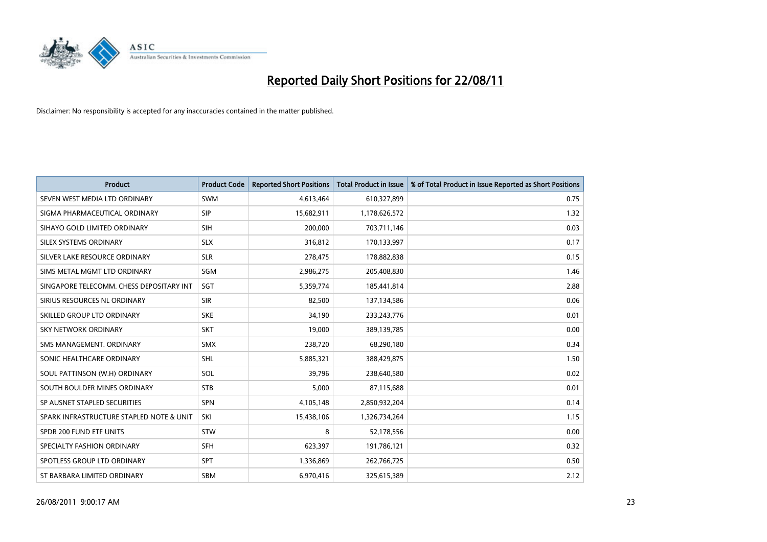

| <b>Product</b>                           | <b>Product Code</b> | <b>Reported Short Positions</b> | <b>Total Product in Issue</b> | % of Total Product in Issue Reported as Short Positions |
|------------------------------------------|---------------------|---------------------------------|-------------------------------|---------------------------------------------------------|
| SEVEN WEST MEDIA LTD ORDINARY            | <b>SWM</b>          | 4,613,464                       | 610,327,899                   | 0.75                                                    |
| SIGMA PHARMACEUTICAL ORDINARY            | SIP                 | 15,682,911                      | 1,178,626,572                 | 1.32                                                    |
| SIHAYO GOLD LIMITED ORDINARY             | <b>SIH</b>          | 200,000                         | 703,711,146                   | 0.03                                                    |
| <b>SILEX SYSTEMS ORDINARY</b>            | <b>SLX</b>          | 316,812                         | 170,133,997                   | 0.17                                                    |
| SILVER LAKE RESOURCE ORDINARY            | <b>SLR</b>          | 278,475                         | 178,882,838                   | 0.15                                                    |
| SIMS METAL MGMT LTD ORDINARY             | SGM                 | 2,986,275                       | 205,408,830                   | 1.46                                                    |
| SINGAPORE TELECOMM. CHESS DEPOSITARY INT | SGT                 | 5,359,774                       | 185,441,814                   | 2.88                                                    |
| SIRIUS RESOURCES NL ORDINARY             | <b>SIR</b>          | 82,500                          | 137,134,586                   | 0.06                                                    |
| SKILLED GROUP LTD ORDINARY               | <b>SKE</b>          | 34,190                          | 233, 243, 776                 | 0.01                                                    |
| <b>SKY NETWORK ORDINARY</b>              | <b>SKT</b>          | 19,000                          | 389,139,785                   | 0.00                                                    |
| SMS MANAGEMENT. ORDINARY                 | <b>SMX</b>          | 238,720                         | 68,290,180                    | 0.34                                                    |
| SONIC HEALTHCARE ORDINARY                | <b>SHL</b>          | 5,885,321                       | 388,429,875                   | 1.50                                                    |
| SOUL PATTINSON (W.H) ORDINARY            | SOL                 | 39,796                          | 238,640,580                   | 0.02                                                    |
| SOUTH BOULDER MINES ORDINARY             | <b>STB</b>          | 5,000                           | 87,115,688                    | 0.01                                                    |
| SP AUSNET STAPLED SECURITIES             | <b>SPN</b>          | 4,105,148                       | 2,850,932,204                 | 0.14                                                    |
| SPARK INFRASTRUCTURE STAPLED NOTE & UNIT | SKI                 | 15,438,106                      | 1,326,734,264                 | 1.15                                                    |
| SPDR 200 FUND ETF UNITS                  | STW                 | 8                               | 52,178,556                    | 0.00                                                    |
| SPECIALTY FASHION ORDINARY               | <b>SFH</b>          | 623,397                         | 191,786,121                   | 0.32                                                    |
| SPOTLESS GROUP LTD ORDINARY              | <b>SPT</b>          | 1,336,869                       | 262,766,725                   | 0.50                                                    |
| ST BARBARA LIMITED ORDINARY              | <b>SBM</b>          | 6,970,416                       | 325,615,389                   | 2.12                                                    |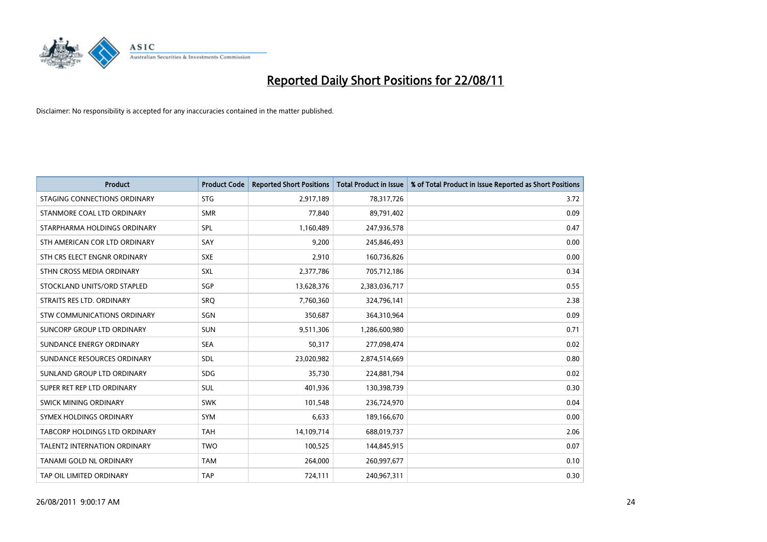

| <b>Product</b>                 | <b>Product Code</b> | <b>Reported Short Positions</b> | <b>Total Product in Issue</b> | % of Total Product in Issue Reported as Short Positions |
|--------------------------------|---------------------|---------------------------------|-------------------------------|---------------------------------------------------------|
| STAGING CONNECTIONS ORDINARY   | <b>STG</b>          | 2,917,189                       | 78,317,726                    | 3.72                                                    |
| STANMORE COAL LTD ORDINARY     | <b>SMR</b>          | 77,840                          | 89,791,402                    | 0.09                                                    |
| STARPHARMA HOLDINGS ORDINARY   | SPL                 | 1,160,489                       | 247,936,578                   | 0.47                                                    |
| STH AMERICAN COR LTD ORDINARY  | SAY                 | 9,200                           | 245,846,493                   | 0.00                                                    |
| STH CRS ELECT ENGNR ORDINARY   | <b>SXE</b>          | 2,910                           | 160,736,826                   | 0.00                                                    |
| STHN CROSS MEDIA ORDINARY      | SXL                 | 2,377,786                       | 705,712,186                   | 0.34                                                    |
| STOCKLAND UNITS/ORD STAPLED    | <b>SGP</b>          | 13,628,376                      | 2,383,036,717                 | 0.55                                                    |
| STRAITS RES LTD. ORDINARY      | <b>SRQ</b>          | 7,760,360                       | 324,796,141                   | 2.38                                                    |
| STW COMMUNICATIONS ORDINARY    | SGN                 | 350,687                         | 364,310,964                   | 0.09                                                    |
| SUNCORP GROUP LTD ORDINARY     | <b>SUN</b>          | 9,511,306                       | 1,286,600,980                 | 0.71                                                    |
| SUNDANCE ENERGY ORDINARY       | <b>SEA</b>          | 50,317                          | 277,098,474                   | 0.02                                                    |
| SUNDANCE RESOURCES ORDINARY    | SDL                 | 23,020,982                      | 2,874,514,669                 | 0.80                                                    |
| SUNLAND GROUP LTD ORDINARY     | <b>SDG</b>          | 35,730                          | 224,881,794                   | 0.02                                                    |
| SUPER RET REP LTD ORDINARY     | <b>SUL</b>          | 401,936                         | 130,398,739                   | 0.30                                                    |
| SWICK MINING ORDINARY          | <b>SWK</b>          | 101,548                         | 236,724,970                   | 0.04                                                    |
| SYMEX HOLDINGS ORDINARY        | <b>SYM</b>          | 6,633                           | 189,166,670                   | 0.00                                                    |
| TABCORP HOLDINGS LTD ORDINARY  | <b>TAH</b>          | 14,109,714                      | 688,019,737                   | 2.06                                                    |
| TALENT2 INTERNATION ORDINARY   | <b>TWO</b>          | 100,525                         | 144,845,915                   | 0.07                                                    |
| <b>TANAMI GOLD NL ORDINARY</b> | <b>TAM</b>          | 264,000                         | 260,997,677                   | 0.10                                                    |
| TAP OIL LIMITED ORDINARY       | <b>TAP</b>          | 724,111                         | 240,967,311                   | 0.30                                                    |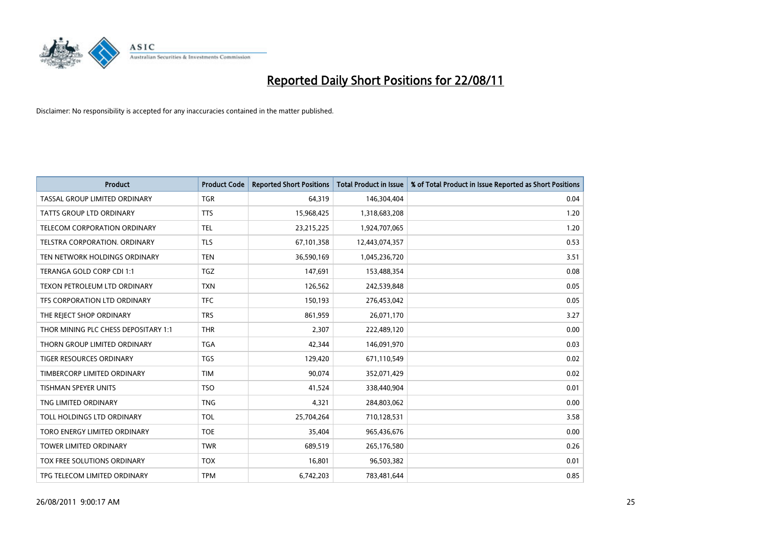

| <b>Product</b>                       | <b>Product Code</b> | <b>Reported Short Positions</b> | <b>Total Product in Issue</b> | % of Total Product in Issue Reported as Short Positions |
|--------------------------------------|---------------------|---------------------------------|-------------------------------|---------------------------------------------------------|
| <b>TASSAL GROUP LIMITED ORDINARY</b> | <b>TGR</b>          | 64,319                          | 146,304,404                   | 0.04                                                    |
| <b>TATTS GROUP LTD ORDINARY</b>      | <b>TTS</b>          | 15,968,425                      | 1,318,683,208                 | 1.20                                                    |
| <b>TELECOM CORPORATION ORDINARY</b>  | <b>TEL</b>          | 23,215,225                      | 1,924,707,065                 | 1.20                                                    |
| TELSTRA CORPORATION. ORDINARY        | <b>TLS</b>          | 67,101,358                      | 12,443,074,357                | 0.53                                                    |
| TEN NETWORK HOLDINGS ORDINARY        | <b>TEN</b>          | 36,590,169                      | 1,045,236,720                 | 3.51                                                    |
| TERANGA GOLD CORP CDI 1:1            | <b>TGZ</b>          | 147,691                         | 153,488,354                   | 0.08                                                    |
| TEXON PETROLEUM LTD ORDINARY         | <b>TXN</b>          | 126,562                         | 242,539,848                   | 0.05                                                    |
| TFS CORPORATION LTD ORDINARY         | <b>TFC</b>          | 150,193                         | 276,453,042                   | 0.05                                                    |
| THE REJECT SHOP ORDINARY             | <b>TRS</b>          | 861,959                         | 26,071,170                    | 3.27                                                    |
| THOR MINING PLC CHESS DEPOSITARY 1:1 | <b>THR</b>          | 2,307                           | 222,489,120                   | 0.00                                                    |
| THORN GROUP LIMITED ORDINARY         | <b>TGA</b>          | 42,344                          | 146,091,970                   | 0.03                                                    |
| <b>TIGER RESOURCES ORDINARY</b>      | <b>TGS</b>          | 129,420                         | 671,110,549                   | 0.02                                                    |
| TIMBERCORP LIMITED ORDINARY          | <b>TIM</b>          | 90.074                          | 352,071,429                   | 0.02                                                    |
| <b>TISHMAN SPEYER UNITS</b>          | <b>TSO</b>          | 41,524                          | 338,440,904                   | 0.01                                                    |
| TNG LIMITED ORDINARY                 | <b>TNG</b>          | 4,321                           | 284,803,062                   | 0.00                                                    |
| TOLL HOLDINGS LTD ORDINARY           | <b>TOL</b>          | 25,704,264                      | 710,128,531                   | 3.58                                                    |
| TORO ENERGY LIMITED ORDINARY         | <b>TOE</b>          | 35,404                          | 965,436,676                   | 0.00                                                    |
| TOWER LIMITED ORDINARY               | <b>TWR</b>          | 689,519                         | 265,176,580                   | 0.26                                                    |
| <b>TOX FREE SOLUTIONS ORDINARY</b>   | <b>TOX</b>          | 16,801                          | 96,503,382                    | 0.01                                                    |
| TPG TELECOM LIMITED ORDINARY         | <b>TPM</b>          | 6,742,203                       | 783,481,644                   | 0.85                                                    |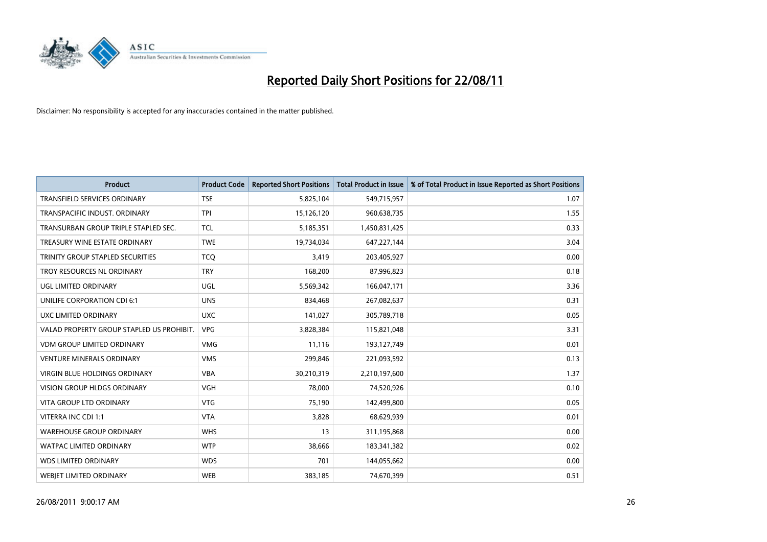

| <b>Product</b>                            | <b>Product Code</b> | <b>Reported Short Positions</b> | <b>Total Product in Issue</b> | % of Total Product in Issue Reported as Short Positions |
|-------------------------------------------|---------------------|---------------------------------|-------------------------------|---------------------------------------------------------|
| <b>TRANSFIELD SERVICES ORDINARY</b>       | <b>TSE</b>          | 5,825,104                       | 549,715,957                   | 1.07                                                    |
| TRANSPACIFIC INDUST, ORDINARY             | <b>TPI</b>          | 15,126,120                      | 960,638,735                   | 1.55                                                    |
| TRANSURBAN GROUP TRIPLE STAPLED SEC.      | <b>TCL</b>          | 5,185,351                       | 1,450,831,425                 | 0.33                                                    |
| TREASURY WINE ESTATE ORDINARY             | <b>TWE</b>          | 19,734,034                      | 647,227,144                   | 3.04                                                    |
| TRINITY GROUP STAPLED SECURITIES          | <b>TCO</b>          | 3,419                           | 203,405,927                   | 0.00                                                    |
| TROY RESOURCES NL ORDINARY                | <b>TRY</b>          | 168,200                         | 87,996,823                    | 0.18                                                    |
| UGL LIMITED ORDINARY                      | UGL                 | 5,569,342                       | 166,047,171                   | 3.36                                                    |
| UNILIFE CORPORATION CDI 6:1               | <b>UNS</b>          | 834,468                         | 267,082,637                   | 0.31                                                    |
| UXC LIMITED ORDINARY                      | <b>UXC</b>          | 141,027                         | 305,789,718                   | 0.05                                                    |
| VALAD PROPERTY GROUP STAPLED US PROHIBIT. | <b>VPG</b>          | 3,828,384                       | 115,821,048                   | 3.31                                                    |
| <b>VDM GROUP LIMITED ORDINARY</b>         | <b>VMG</b>          | 11,116                          | 193,127,749                   | 0.01                                                    |
| <b>VENTURE MINERALS ORDINARY</b>          | <b>VMS</b>          | 299,846                         | 221,093,592                   | 0.13                                                    |
| <b>VIRGIN BLUE HOLDINGS ORDINARY</b>      | <b>VBA</b>          | 30,210,319                      | 2,210,197,600                 | 1.37                                                    |
| <b>VISION GROUP HLDGS ORDINARY</b>        | <b>VGH</b>          | 78.000                          | 74,520,926                    | 0.10                                                    |
| <b>VITA GROUP LTD ORDINARY</b>            | <b>VTG</b>          | 75,190                          | 142,499,800                   | 0.05                                                    |
| VITERRA INC CDI 1:1                       | <b>VTA</b>          | 3,828                           | 68,629,939                    | 0.01                                                    |
| <b>WAREHOUSE GROUP ORDINARY</b>           | <b>WHS</b>          | 13                              | 311,195,868                   | 0.00                                                    |
| <b>WATPAC LIMITED ORDINARY</b>            | <b>WTP</b>          | 38,666                          | 183,341,382                   | 0.02                                                    |
| <b>WDS LIMITED ORDINARY</b>               | <b>WDS</b>          | 701                             | 144,055,662                   | 0.00                                                    |
| <b>WEBJET LIMITED ORDINARY</b>            | <b>WEB</b>          | 383.185                         | 74,670,399                    | 0.51                                                    |